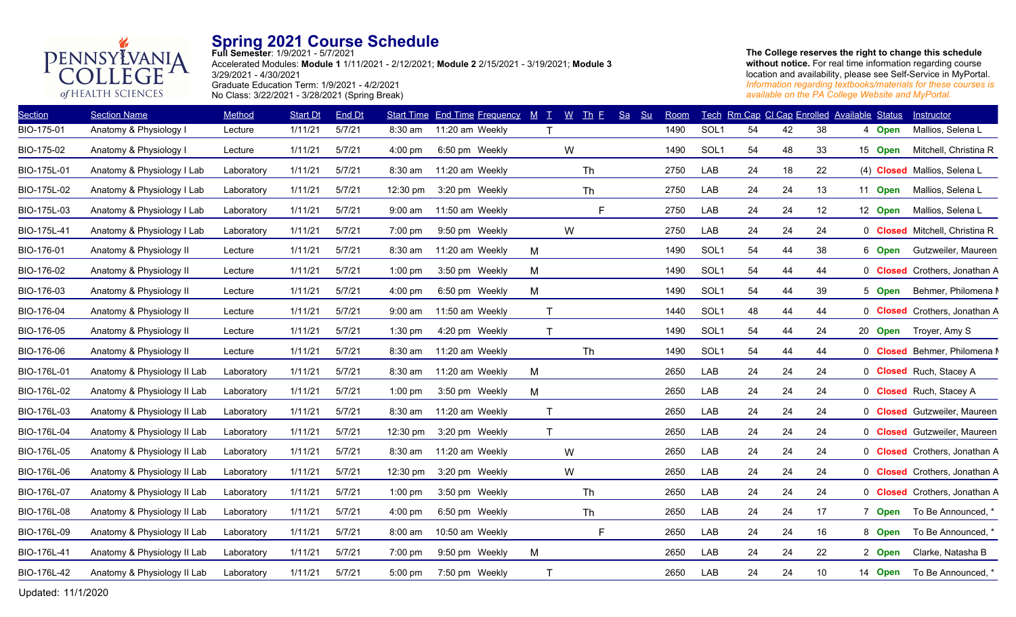

**Full Semester**: 1/9/2021 - 5/7/2021 Accelerated Modules: **Module 1** 1/11/2021 - 2/12/2021; **Module 2** 2/15/2021 - 3/19/2021; **Module 3** 3/29/2021 - 4/30/2021 Graduate Education Term: 1/9/2021 - 4/2/2021 No Class: 3/22/2021 - 3/28/2021 (Spring Break)

**The College reserves the right to change this schedule without notice.** For real time information regarding course location and availability, please see Self-Service in MyPortal. *Information regarding textbooks/materials for these courses is available on the PA College Website and MyPortal.*

| <b>Section</b> | <b>Section Name</b>         | Method     | <b>Start Dt</b> | End Dt |           | <b>Start Time End Time Frequency</b> | M<br>$\top$ . | $W$ Th E  | $S_{a}$<br>S <sub>u</sub> | Room |                  |    |    | Tech Rm Cap CI Cap Enrolled Available Status |         | <b>Instructor</b>                     |
|----------------|-----------------------------|------------|-----------------|--------|-----------|--------------------------------------|---------------|-----------|---------------------------|------|------------------|----|----|----------------------------------------------|---------|---------------------------------------|
| BIO-175-01     | Anatomy & Physiology I      | Lecture    | 1/11/21         | 5/7/21 | 8:30 am   | 11:20 am Weekly                      |               |           |                           | 1490 | SOL <sub>1</sub> | 54 | 42 | 38                                           | 4 Open  | Mallios, Selena L                     |
| BIO-175-02     | Anatomy & Physiology I      | Lecture    | 1/11/21         | 5/7/21 | $4:00$ pm | 6:50 pm Weekly                       |               | W         |                           | 1490 | SOL <sub>1</sub> | 54 | 48 | 33                                           | 15 Open | Mitchell, Christina R                 |
| BIO-175L-01    | Anatomy & Physiology I Lab  | Laboratory | 1/11/21         | 5/7/21 | 8:30 am   | 11:20 am Weekly                      |               | <b>Th</b> |                           | 2750 | LAB              | 24 | 18 | 22                                           |         | (4) Closed Mallios, Selena L          |
| BIO-175L-02    | Anatomy & Physiology I Lab  | Laboratory | 1/11/21         | 5/7/21 | 12:30 pm  | 3:20 pm Weekly                       |               | Th        |                           | 2750 | LAB              | 24 | 24 | 13                                           | 11 Open | Mallios, Selena L                     |
| BIO-175L-03    | Anatomy & Physiology I Lab  | Laboratory | 1/11/21         | 5/7/21 | $9:00$ am | 11:50 am Weekly                      |               | F.        |                           | 2750 | LAB              | 24 | 24 | 12                                           | 12 Open | Mallios, Selena L                     |
| BIO-175L-41    | Anatomy & Physiology I Lab  | Laboratory | 1/11/21         | 5/7/21 | 7:00 pm   | 9:50 pm Weekly                       |               | W         |                           | 2750 | LAB              | 24 | 24 | 24                                           |         | 0 <b>Closed</b> Mitchell, Christina R |
| BIO-176-01     | Anatomy & Physiology II     | Lecture    | 1/11/21         | 5/7/21 | 8:30 am   | 11:20 am Weekly                      | M             |           |                           | 1490 | SOL1             | 54 | 44 | 38                                           | 6 Open  | Gutzweiler, Maureen                   |
| BIO-176-02     | Anatomy & Physiology II     | Lecture    | 1/11/21         | 5/7/21 | $1:00$ pm | 3:50 pm Weekly                       | M             |           |                           | 1490 | SOL <sub>1</sub> | 54 | 44 | 44                                           |         | 0 Closed Crothers, Jonathan A         |
| BIO-176-03     | Anatomy & Physiology II     | Lecture    | 1/11/21         | 5/7/21 | 4:00 pm   | 6:50 pm Weekly                       | M             |           |                           | 1490 | SOL1             | 54 | 44 | 39                                           | 5 Open  | Behmer, Philomena N                   |
| BIO-176-04     | Anatomy & Physiology II     | Lecture    | 1/11/21         | 5/7/21 | $9:00$ am | 11:50 am Weekly                      | $\mathsf{T}$  |           |                           | 1440 | SOL1             | 48 | 44 | 44                                           |         | 0 Closed Crothers, Jonathan A         |
| BIO-176-05     | Anatomy & Physiology II     | Lecture    | 1/11/21         | 5/7/21 | $1:30$ pm | 4:20 pm Weekly                       | T             |           |                           | 1490 | SOL1             | 54 | 44 | 24                                           | 20 Open | Troyer, Amy S                         |
| BIO-176-06     | Anatomy & Physiology II     | Lecture    | 1/11/21         | 5/7/21 | 8:30 am   | 11:20 am Weekly                      |               | Th        |                           | 1490 | SOL1             | 54 | 44 | 44                                           |         | 0 Closed Behmer, Philomena M          |
| BIO-176L-01    | Anatomy & Physiology II Lab | Laboratory | 1/11/21         | 5/7/21 | 8:30 am   | 11:20 am Weekly                      | М             |           |                           | 2650 | LAB              | 24 | 24 | 24                                           |         | 0 Closed Ruch, Stacey A               |
| BIO-176L-02    | Anatomy & Physiology II Lab | Laboratory | 1/11/21         | 5/7/21 | $1:00$ pm | 3:50 pm Weekly                       | M             |           |                           | 2650 | LAB              | 24 | 24 | 24                                           |         | 0 Closed Ruch, Stacey A               |
| BIO-176L-03    | Anatomy & Physiology II Lab | Laboratory | 1/11/21         | 5/7/21 | 8:30 am   | 11:20 am Weekly                      | $\mathsf{T}$  |           |                           | 2650 | LAB              | 24 | 24 | 24                                           |         | 0 <b>Closed</b> Gutzweiler, Maureen   |
| BIO-176L-04    | Anatomy & Physiology II Lab | Laboratory | 1/11/21         | 5/7/21 | 12:30 pm  | 3:20 pm Weekly                       | T             |           |                           | 2650 | LAB              | 24 | 24 | 24                                           |         | 0 <b>Closed</b> Gutzweiler, Maureen   |
| BIO-176L-05    | Anatomy & Physiology II Lab | Laboratory | 1/11/21         | 5/7/21 | 8:30 am   | 11:20 am Weekly                      |               | W         |                           | 2650 | LAB              | 24 | 24 | 24                                           |         | 0 Closed Crothers, Jonathan A         |
| BIO-176L-06    | Anatomy & Physiology II Lab | Laboratory | 1/11/21         | 5/7/21 | 12:30 pm  | 3:20 pm Weekly                       |               | W         |                           | 2650 | LAB              | 24 | 24 | 24                                           |         | 0 Closed Crothers, Jonathan A         |
| BIO-176L-07    | Anatomy & Physiology II Lab | Laboratory | 1/11/21         | 5/7/21 | $1:00$ pm | 3:50 pm Weekly                       |               | <b>Th</b> |                           | 2650 | LAB              | 24 | 24 | 24                                           |         | 0 <b>Closed</b> Crothers, Jonathan A  |
| BIO-176L-08    | Anatomy & Physiology II Lab | Laboratory | 1/11/21         | 5/7/21 | $4:00$ pm | 6:50 pm Weekly                       |               | Th        |                           | 2650 | LAB              | 24 | 24 | 17                                           | 7 Open  | To Be Announced, *                    |
| BIO-176L-09    | Anatomy & Physiology II Lab | Laboratory | 1/11/21         | 5/7/21 | 8:00 am   | 10:50 am Weekly                      |               | F         |                           | 2650 | LAB              | 24 | 24 | 16                                           | 8 Open  | To Be Announced, *                    |
| BIO-176L-41    | Anatomy & Physiology II Lab | Laboratory | 1/11/21         | 5/7/21 | 7:00 pm   | 9:50 pm Weekly                       | M             |           |                           | 2650 | LAB              | 24 | 24 | 22                                           | 2 Open  | Clarke, Natasha B                     |
| BIO-176L-42    | Anatomy & Physiology II Lab | Laboratory | 1/11/21         | 5/7/21 | 5:00 pm   | 7:50 pm Weekly                       | $\mathsf T$   |           |                           | 2650 | LAB              | 24 | 24 | 10                                           | 14 Open | To Be Announced, *                    |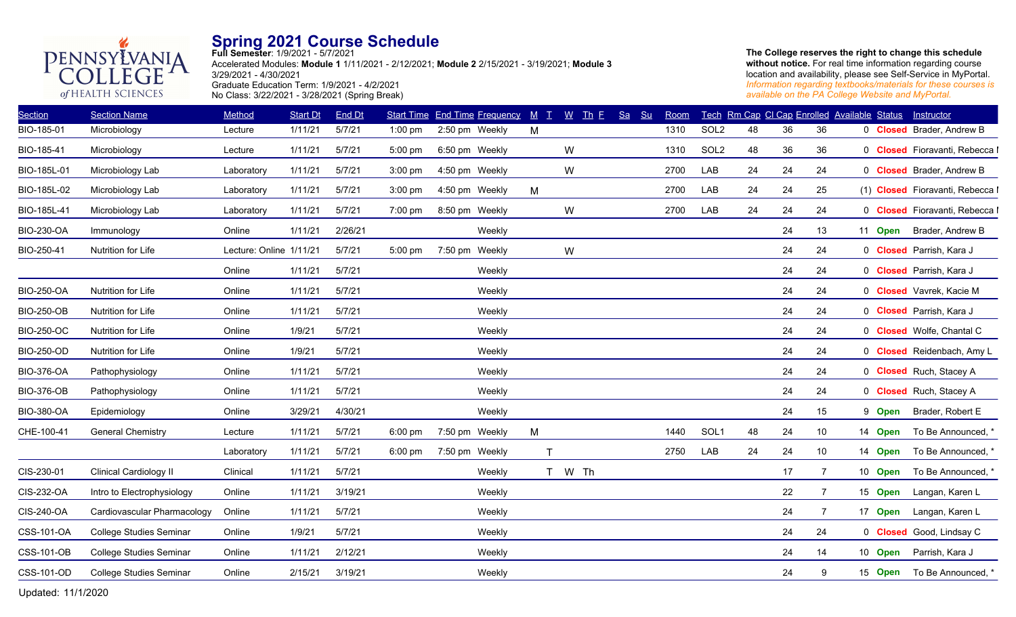

**Full Semester**: 1/9/2021 - 5/7/2021 Accelerated Modules: **Module 1** 1/11/2021 - 2/12/2021; **Module 2** 2/15/2021 - 3/19/2021; **Module 3** 3/29/2021 - 4/30/2021 Graduate Education Term: 1/9/2021 - 4/2/2021 No Class: 3/22/2021 - 3/28/2021 (Spring Break)

**The College reserves the right to change this schedule without notice.** For real time information regarding course location and availability, please see Self-Service in MyPortal. *Information regarding textbooks/materials for these courses is available on the PA College Website and MyPortal.*

| <b>Section Name</b>            | Method     | <b>Start Dt</b> | End Dt                  |                   |        | $M$ $T$                                                                                                                                      | $W$ Th E                             | Sa     | Su | Room |                  |    |    |                | Instructor                                                                                                                                     |
|--------------------------------|------------|-----------------|-------------------------|-------------------|--------|----------------------------------------------------------------------------------------------------------------------------------------------|--------------------------------------|--------|----|------|------------------|----|----|----------------|------------------------------------------------------------------------------------------------------------------------------------------------|
| Microbiology                   | Lecture    | 1/11/21         | 5/7/21                  | $1:00$ pm         |        | M                                                                                                                                            |                                      |        |    | 1310 | SOL <sub>2</sub> | 48 | 36 | 36             | 0 <b>Closed</b> Brader, Andrew B                                                                                                               |
| Microbiology                   | Lecture    | 1/11/21         | 5/7/21                  | 5:00 pm           |        |                                                                                                                                              | W                                    |        |    | 1310 | SOL <sub>2</sub> | 48 | 36 | 36             | 0 Closed Fioravanti, Rebecca I                                                                                                                 |
| Microbiology Lab               | Laboratory | 1/11/21         | 5/7/21                  | $3:00$ pm         |        |                                                                                                                                              | W                                    |        |    | 2700 | LAB              | 24 | 24 | 24             | 0 <b>Closed</b> Brader, Andrew B                                                                                                               |
| Microbiology Lab               | Laboratory | 1/11/21         | 5/7/21                  | $3:00$ pm         |        | M                                                                                                                                            |                                      |        |    | 2700 | LAB              | 24 | 24 | 25             | (1) Closed Fioravanti, Rebecca I                                                                                                               |
| Microbiology Lab               | Laboratory | 1/11/21         | 5/7/21                  | 7:00 pm           |        |                                                                                                                                              | W                                    |        |    | 2700 | LAB              | 24 | 24 | 24             | 0 Closed Fioravanti, Rebecca I                                                                                                                 |
| Immunology                     | Online     | 1/11/21         | 2/26/21                 |                   | Weekly |                                                                                                                                              |                                      |        |    |      |                  |    | 24 | 13             | Brader, Andrew B                                                                                                                               |
| Nutrition for Life             |            |                 | 5/7/21                  | 5:00 pm           |        |                                                                                                                                              | W                                    |        |    |      |                  |    | 24 | 24             | 0 Closed Parrish, Kara J                                                                                                                       |
|                                | Online     | 1/11/21         | 5/7/21                  |                   | Weekly |                                                                                                                                              |                                      |        |    |      |                  |    | 24 | 24             | 0 Closed Parrish, Kara J                                                                                                                       |
| Nutrition for Life             | Online     | 1/11/21         | 5/7/21                  |                   | Weekly |                                                                                                                                              |                                      |        |    |      |                  |    | 24 | 24             | 0 Closed Vavrek, Kacie M                                                                                                                       |
| Nutrition for Life             | Online     | 1/11/21         | 5/7/21                  |                   | Weekly |                                                                                                                                              |                                      |        |    |      |                  |    | 24 | 24             | 0 Closed Parrish, Kara J                                                                                                                       |
| Nutrition for Life             | Online     | 1/9/21          | 5/7/21                  |                   | Weekly |                                                                                                                                              |                                      |        |    |      |                  |    | 24 | 24             | 0 Closed Wolfe, Chantal C                                                                                                                      |
| Nutrition for Life             | Online     | 1/9/21          | 5/7/21                  |                   | Weekly |                                                                                                                                              |                                      |        |    |      |                  |    | 24 | 24             | 0 Closed Reidenbach, Amy L                                                                                                                     |
| Pathophysiology                | Online     | 1/11/21         | 5/7/21                  |                   | Weekly |                                                                                                                                              |                                      |        |    |      |                  |    | 24 | 24             | 0 Closed Ruch, Stacey A                                                                                                                        |
| Pathophysiology                | Online     | 1/11/21         | 5/7/21                  |                   | Weekly |                                                                                                                                              |                                      |        |    |      |                  |    | 24 | 24             | 0 Closed Ruch, Stacey A                                                                                                                        |
| Epidemiology                   | Online     | 3/29/21         | 4/30/21                 |                   | Weekly |                                                                                                                                              |                                      |        |    |      |                  |    | 24 | 15             | Brader, Robert E                                                                                                                               |
| <b>General Chemistry</b>       | Lecture    | 1/11/21         | 5/7/21                  | $6:00 \text{ pm}$ |        | M                                                                                                                                            |                                      |        |    | 1440 | SOL <sub>1</sub> | 48 | 24 | 10             | To Be Announced, *                                                                                                                             |
|                                | Laboratory | 1/11/21         | 5/7/21                  | $6:00 \text{ pm}$ |        | T                                                                                                                                            |                                      |        |    | 2750 | LAB              | 24 | 24 | 10             | To Be Announced, *                                                                                                                             |
| <b>Clinical Cardiology II</b>  | Clinical   | 1/11/21         | 5/7/21                  |                   | Weekly |                                                                                                                                              |                                      |        |    |      |                  |    | 17 | $\overline{7}$ | To Be Announced, *                                                                                                                             |
| Intro to Electrophysiology     | Online     | 1/11/21         | 3/19/21                 |                   | Weekly |                                                                                                                                              |                                      |        |    |      |                  |    | 22 | -7             | Langan, Karen L                                                                                                                                |
| Cardiovascular Pharmacology    | Online     | 1/11/21         | 5/7/21                  |                   | Weekly |                                                                                                                                              |                                      |        |    |      |                  |    | 24 | $\overline{7}$ | Langan, Karen L                                                                                                                                |
| <b>College Studies Seminar</b> | Online     | 1/9/21          | 5/7/21                  |                   | Weekly |                                                                                                                                              |                                      |        |    |      |                  |    | 24 | 24             | 0 Closed Good, Lindsay C                                                                                                                       |
| <b>College Studies Seminar</b> | Online     | 1/11/21         | 2/12/21                 |                   | Weekly |                                                                                                                                              |                                      |        |    |      |                  |    | 24 | 14             | Parrish, Kara J                                                                                                                                |
| <b>College Studies Seminar</b> | Online     | 2/15/21         | 3/19/21                 |                   | Weekly |                                                                                                                                              |                                      |        |    |      |                  |    | 24 | 9              | To Be Announced, *                                                                                                                             |
|                                |            |                 | Lecture: Online 1/11/21 |                   |        | 2:50 pm Weekly<br>6:50 pm Weekly<br>4:50 pm Weekly<br>4:50 pm Weekly<br>8:50 pm Weekly<br>7:50 pm Weekly<br>7:50 pm Weekly<br>7:50 pm Weekly | <b>Start Time End Time Frequency</b> | T W Th |    |      |                  |    |    |                | Tech Rm Cap CI Cap Enrolled Available Status<br>11 Open<br>9 Open<br>14 Open<br>14 Open<br>10 Open<br>15 Open<br>17 Open<br>10 Open<br>15 Open |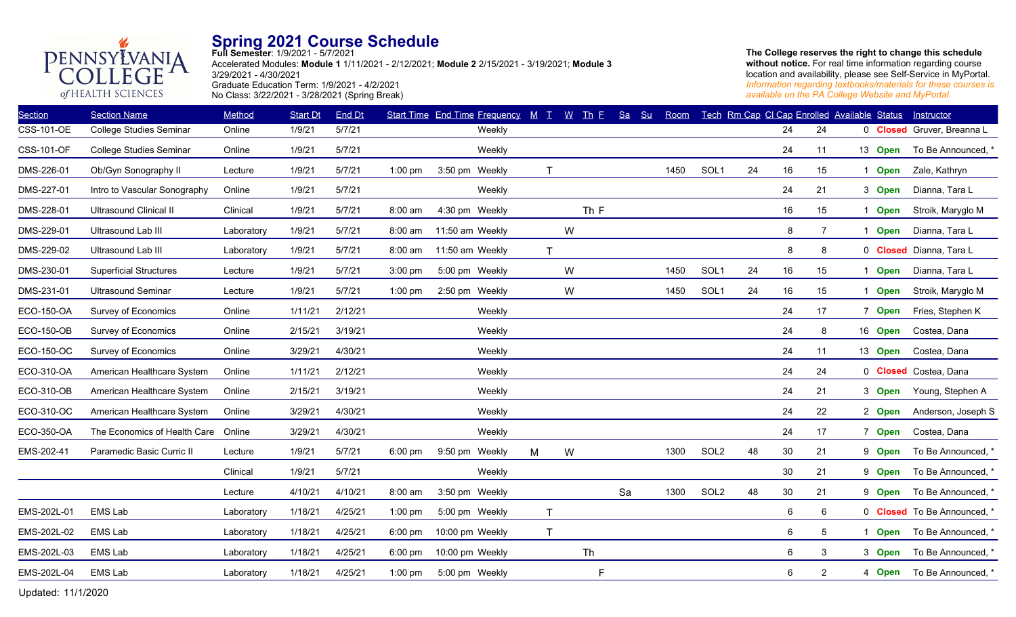

**Full Semester**: 1/9/2021 - 5/7/2021 Accelerated Modules: **Module 1** 1/11/2021 - 2/12/2021; **Module 2** 2/15/2021 - 3/19/2021; **Module 3** 3/29/2021 - 4/30/2021 Graduate Education Term: 1/9/2021 - 4/2/2021 No Class: 3/22/2021 - 3/28/2021 (Spring Break)

**The College reserves the right to change this schedule without notice.** For real time information regarding course location and availability, please see Self-Service in MyPortal. *Information regarding textbooks/materials for these courses is available on the PA College Website and MyPortal.*

| <b>Section</b>    | <b>Section Name</b>           | Method     | <b>Start Dt</b> | End Dt  |           |                 | <b>Start Time End Time Frequency</b> | $M$ $T$      |   | $W$ Th E | Sa | Su | Room |                  |    | Tech Rm Cap Cl Cap Enrolled Available Status |                |             | Instructor                  |
|-------------------|-------------------------------|------------|-----------------|---------|-----------|-----------------|--------------------------------------|--------------|---|----------|----|----|------|------------------|----|----------------------------------------------|----------------|-------------|-----------------------------|
| <b>CSS-101-OE</b> | College Studies Seminar       | Online     | 1/9/21          | 5/7/21  |           |                 | Weekly                               |              |   |          |    |    |      |                  |    | 24                                           | 24             |             | 0 Closed Gruver, Breanna L  |
| <b>CSS-101-OF</b> | College Studies Seminar       | Online     | 1/9/21          | 5/7/21  |           |                 | Weekly                               |              |   |          |    |    |      |                  |    | 24                                           | 11             | 13 Open     | To Be Announced, *          |
| DMS-226-01        | Ob/Gyn Sonography II          | Lecture    | 1/9/21          | 5/7/21  | $1:00$ pm | 3:50 pm Weekly  |                                      | $\mathsf{T}$ |   |          |    |    | 1450 | SOL <sub>1</sub> | 24 | 16                                           | 15             | 1 Open      | Zale, Kathryn               |
| DMS-227-01        | Intro to Vascular Sonography  | Online     | 1/9/21          | 5/7/21  |           |                 | Weekly                               |              |   |          |    |    |      |                  |    | 24                                           | 21             | 3 Open      | Dianna, Tara L              |
| DMS-228-01        | <b>Ultrasound Clinical II</b> | Clinical   | 1/9/21          | 5/7/21  | 8:00 am   | 4:30 pm Weekly  |                                      |              |   | Th F     |    |    |      |                  |    | 16                                           | 15             | <b>Open</b> | Stroik, Maryglo M           |
| DMS-229-01        | Ultrasound Lab III            | Laboratory | 1/9/21          | 5/7/21  | 8:00 am   | 11:50 am Weekly |                                      |              | W |          |    |    |      |                  |    | 8                                            | $\overline{7}$ | 1 Open      | Dianna, Tara L              |
| DMS-229-02        | Ultrasound Lab III            | Laboratory | 1/9/21          | 5/7/21  | 8:00 am   | 11:50 am Weekly |                                      | $\mathsf{T}$ |   |          |    |    |      |                  |    | 8                                            | 8              |             | 0 Closed Dianna, Tara L     |
| DMS-230-01        | <b>Superficial Structures</b> | Lecture    | 1/9/21          | 5/7/21  | $3:00$ pm | 5:00 pm Weekly  |                                      |              | W |          |    |    | 1450 | SOL <sub>1</sub> | 24 | 16                                           | 15             | 1 Open      | Dianna, Tara L              |
| DMS-231-01        | <b>Ultrasound Seminar</b>     | Lecture    | 1/9/21          | 5/7/21  | $1:00$ pm | 2:50 pm Weekly  |                                      |              | W |          |    |    | 1450 | SOL <sub>1</sub> | 24 | 16                                           | 15             | 1 Open      | Stroik, Maryglo M           |
| ECO-150-OA        | <b>Survey of Economics</b>    | Online     | 1/11/21         | 2/12/21 |           |                 | Weekly                               |              |   |          |    |    |      |                  |    | 24                                           | 17             | 7 Open      | Fries, Stephen K            |
| <b>ECO-150-OB</b> | <b>Survey of Economics</b>    | Online     | 2/15/21         | 3/19/21 |           |                 | Weekly                               |              |   |          |    |    |      |                  |    | 24                                           | 8              | 16 Open     | Costea, Dana                |
| ECO-150-OC        | Survey of Economics           | Online     | 3/29/21         | 4/30/21 |           |                 | Weekly                               |              |   |          |    |    |      |                  |    | 24                                           | 11             | 13 Open     | Costea, Dana                |
| ECO-310-OA        | American Healthcare System    | Online     | 1/11/21         | 2/12/21 |           |                 | Weekly                               |              |   |          |    |    |      |                  |    | 24                                           | 24             |             | 0 Closed Costea, Dana       |
| ECO-310-OB        | American Healthcare System    | Online     | 2/15/21         | 3/19/21 |           |                 | Weekly                               |              |   |          |    |    |      |                  |    | 24                                           | 21             | 3 Open      | Young, Stephen A            |
| ECO-310-OC        | American Healthcare System    | Online     | 3/29/21         | 4/30/21 |           |                 | Weekly                               |              |   |          |    |    |      |                  |    | 24                                           | 22             | 2 Open      | Anderson, Joseph S          |
| ECO-350-OA        | The Economics of Health Care  | Online     | 3/29/21         | 4/30/21 |           |                 | Weekly                               |              |   |          |    |    |      |                  |    | 24                                           | 17             | 7 Open      | Costea, Dana                |
| EMS-202-41        | Paramedic Basic Curric II     | Lecture    | 1/9/21          | 5/7/21  | $6:00$ pm | 9:50 pm Weekly  |                                      | M            | W |          |    |    | 1300 | SOL <sub>2</sub> | 48 | 30                                           | 21             | 9 Open      | To Be Announced, '          |
|                   |                               | Clinical   | 1/9/21          | 5/7/21  |           |                 | Weekly                               |              |   |          |    |    |      |                  |    | 30                                           | 21             | 9 Open      | To Be Announced, *          |
|                   |                               | Lecture    | 4/10/21         | 4/10/21 | 8:00 am   | 3:50 pm Weekly  |                                      |              |   |          | Sa |    | 1300 | SOL <sub>2</sub> | 48 | 30                                           | 21             | 9 Open      | To Be Announced, *          |
| EMS-202L-01       | <b>EMS Lab</b>                | Laboratory | 1/18/21         | 4/25/21 | $1:00$ pm | 5:00 pm Weekly  |                                      | $\mathsf{T}$ |   |          |    |    |      |                  |    | 6                                            | 6              |             | 0 Closed To Be Announced, * |
| EMS-202L-02       | <b>EMS Lab</b>                | Laboratory | 1/18/21         | 4/25/21 | 6:00 pm   | 10:00 pm Weekly |                                      | $\mathsf{T}$ |   |          |    |    |      |                  |    | 6                                            | 5              | <b>Open</b> | To Be Announced, *          |
| EMS-202L-03       | <b>EMS Lab</b>                | Laboratory | 1/18/21         | 4/25/21 | $6:00$ pm | 10:00 pm Weekly |                                      |              |   | Th       |    |    |      |                  |    | 6                                            | 3              | 3 Open      | To Be Announced,            |
| EMS-202L-04       | <b>EMS Lab</b>                | Laboratory | 1/18/21         | 4/25/21 | $1:00$ pm | 5:00 pm Weekly  |                                      |              |   | F        |    |    |      |                  |    | 6                                            | 2              | 4 Open      | To Be Announced, *          |
|                   |                               |            |                 |         |           |                 |                                      |              |   |          |    |    |      |                  |    |                                              |                |             |                             |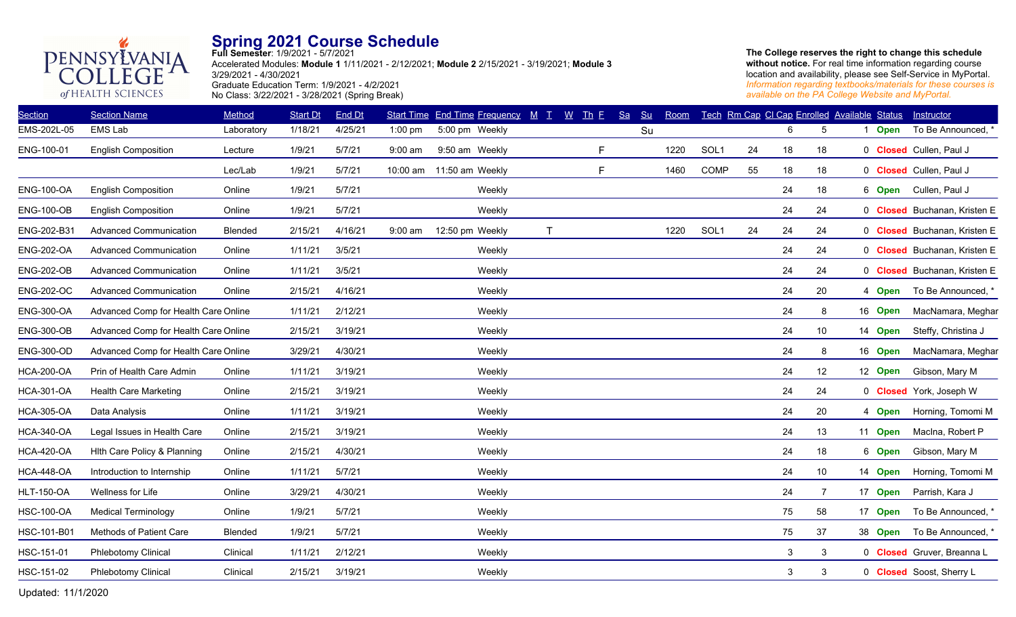

**Full Semester**: 1/9/2021 - 5/7/2021 Accelerated Modules: **Module 1** 1/11/2021 - 2/12/2021; **Module 2** 2/15/2021 - 3/19/2021; **Module 3** 3/29/2021 - 4/30/2021 Graduate Education Term: 1/9/2021 - 4/2/2021 No Class: 3/22/2021 - 3/28/2021 (Spring Break)

**The College reserves the right to change this schedule without notice.** For real time information regarding course location and availability, please see Self-Service in MyPortal. *Information regarding textbooks/materials for these courses is available on the PA College Website and MyPortal.*

| <b>Section</b>    | <b>Section Name</b>                  | Method     | <b>Start Dt</b> | End Dt  |           | Start Time End Time Frequency M T |    | $\underline{W}$ Th E | Sa<br>Su | Room |                  |    |              | Tech Rm Cap CI Cap Enrolled Available Status |             | Instructor                   |
|-------------------|--------------------------------------|------------|-----------------|---------|-----------|-----------------------------------|----|----------------------|----------|------|------------------|----|--------------|----------------------------------------------|-------------|------------------------------|
| EMS-202L-05       | <b>EMS Lab</b>                       | Laboratory | 1/18/21         | 4/25/21 | $1:00$ pm | 5:00 pm Weekly                    |    |                      | Su       |      |                  |    | 6            | 5                                            | <b>Open</b> | To Be Announced, *           |
| ENG-100-01        | <b>English Composition</b>           | Lecture    | 1/9/21          | 5/7/21  | 9:00 am   | 9:50 am Weekly                    |    | F.                   |          | 1220 | SOL <sub>1</sub> | 24 | 18           | 18                                           |             | 0 Closed Cullen, Paul J      |
|                   |                                      | Lec/Lab    | 1/9/21          | 5/7/21  |           | 10:00 am 11:50 am Weekly          |    | F.                   |          | 1460 | COMP             | 55 | 18           | 18                                           |             | 0 Closed Cullen, Paul J      |
| <b>ENG-100-OA</b> | <b>English Composition</b>           | Online     | 1/9/21          | 5/7/21  |           | Weekly                            |    |                      |          |      |                  |    | 24           | 18                                           |             | 6 Open Cullen, Paul J        |
| <b>ENG-100-OB</b> | <b>English Composition</b>           | Online     | 1/9/21          | 5/7/21  |           | Weekly                            |    |                      |          |      |                  |    | 24           | 24                                           |             | 0 Closed Buchanan, Kristen E |
| ENG-202-B31       | <b>Advanced Communication</b>        | Blended    | 2/15/21         | 4/16/21 | 9:00 am   | 12:50 pm Weekly                   | T. |                      |          | 1220 | SOL1             | 24 | 24           | 24                                           |             | 0 Closed Buchanan, Kristen E |
| <b>ENG-202-OA</b> | <b>Advanced Communication</b>        | Online     | 1/11/21         | 3/5/21  |           | Weekly                            |    |                      |          |      |                  |    | 24           | 24                                           |             | 0 Closed Buchanan, Kristen E |
| <b>ENG-202-OB</b> | <b>Advanced Communication</b>        | Online     | 1/11/21         | 3/5/21  |           | Weekly                            |    |                      |          |      |                  |    | 24           | 24                                           |             | 0 Closed Buchanan, Kristen E |
| <b>ENG-202-OC</b> | <b>Advanced Communication</b>        | Online     | 2/15/21         | 4/16/21 |           | Weekly                            |    |                      |          |      |                  |    | 24           | 20                                           | 4 Open      | To Be Announced, *           |
| <b>ENG-300-OA</b> | Advanced Comp for Health Care Online |            | 1/11/21         | 2/12/21 |           | Weekly                            |    |                      |          |      |                  |    | 24           | 8                                            | 16 Open     | MacNamara, Meghar            |
| <b>ENG-300-OB</b> | Advanced Comp for Health Care Online |            | 2/15/21         | 3/19/21 |           | Weekly                            |    |                      |          |      |                  |    | 24           | 10                                           | 14 Open     | Steffy, Christina J          |
| <b>ENG-300-OD</b> | Advanced Comp for Health Care Online |            | 3/29/21         | 4/30/21 |           | Weekly                            |    |                      |          |      |                  |    | 24           | 8                                            | 16 Open     | MacNamara, Meghar            |
| <b>HCA-200-OA</b> | Prin of Health Care Admin            | Online     | 1/11/21         | 3/19/21 |           | Weekly                            |    |                      |          |      |                  |    | 24           | 12                                           | 12 Open     | Gibson, Mary M               |
| <b>HCA-301-OA</b> | <b>Health Care Marketing</b>         | Online     | 2/15/21         | 3/19/21 |           | Weekly                            |    |                      |          |      |                  |    | 24           | 24                                           |             | 0 Closed York, Joseph W      |
| <b>HCA-305-OA</b> | Data Analysis                        | Online     | 1/11/21         | 3/19/21 |           | Weekly                            |    |                      |          |      |                  |    | 24           | 20                                           | 4 Open      | Horning, Tomomi M            |
| <b>HCA-340-OA</b> | Legal Issues in Health Care          | Online     | 2/15/21         | 3/19/21 |           | Weekly                            |    |                      |          |      |                  |    | 24           | 13                                           | 11 Open     | Macina, Robert P             |
| <b>HCA-420-OA</b> | Hith Care Policy & Planning          | Online     | 2/15/21         | 4/30/21 |           | Weekly                            |    |                      |          |      |                  |    | 24           | 18                                           | 6 Open      | Gibson, Mary M               |
| <b>HCA-448-OA</b> | Introduction to Internship           | Online     | 1/11/21         | 5/7/21  |           | Weekly                            |    |                      |          |      |                  |    | 24           | 10 <sup>°</sup>                              | 14 Open     | Horning, Tomomi M            |
| <b>HLT-150-OA</b> | Wellness for Life                    | Online     | 3/29/21         | 4/30/21 |           | Weekly                            |    |                      |          |      |                  |    | 24           | $\overline{7}$                               | 17 Open     | Parrish, Kara J              |
| <b>HSC-100-OA</b> | <b>Medical Terminology</b>           | Online     | 1/9/21          | 5/7/21  |           | Weekly                            |    |                      |          |      |                  |    | 75           | 58                                           | 17 Open     | To Be Announced, *           |
| HSC-101-B01       | Methods of Patient Care              | Blended    | 1/9/21          | 5/7/21  |           | Weekly                            |    |                      |          |      |                  |    | 75           | 37                                           | 38 Open     | To Be Announced, *           |
| HSC-151-01        | Phlebotomy Clinical                  | Clinical   | 1/11/21         | 2/12/21 |           | Weekly                            |    |                      |          |      |                  |    | 3            | 3                                            |             | 0 Closed Gruver, Breanna L   |
| HSC-151-02        | <b>Phlebotomy Clinical</b>           | Clinical   | 2/15/21         | 3/19/21 |           | Weekly                            |    |                      |          |      |                  |    | $\mathbf{3}$ | 3                                            |             | 0 Closed Soost, Sherry L     |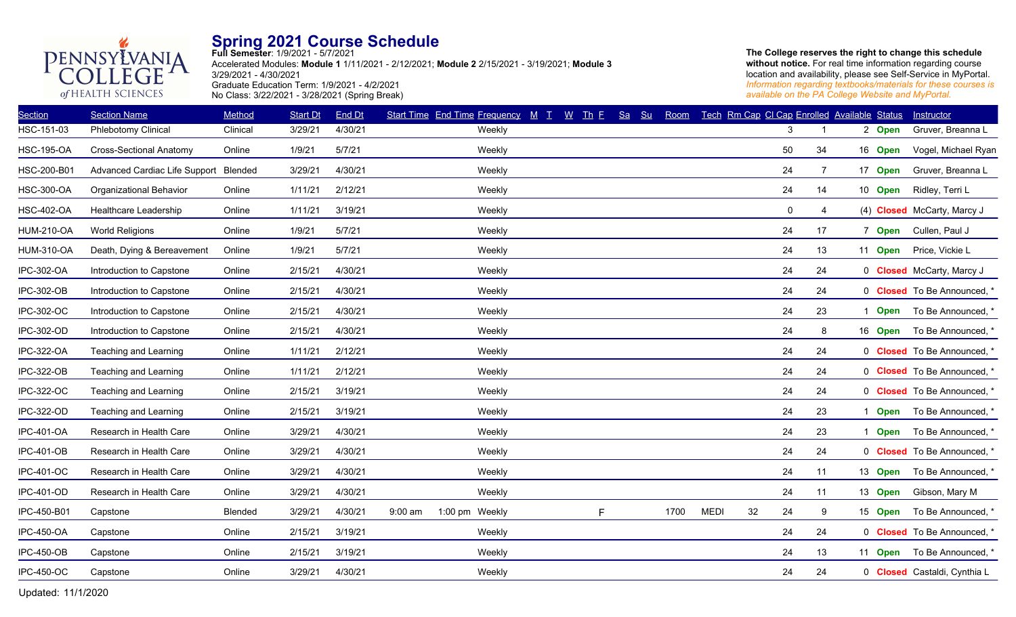

**Full Semester**: 1/9/2021 - 5/7/2021 Accelerated Modules: **Module 1** 1/11/2021 - 2/12/2021; **Module 2** 2/15/2021 - 3/19/2021; **Module 3** 3/29/2021 - 4/30/2021 Graduate Education Term: 1/9/2021 - 4/2/2021 No Class: 3/22/2021 - 3/28/2021 (Spring Break)

**The College reserves the right to change this schedule without notice.** For real time information regarding course location and availability, please see Self-Service in MyPortal. *Information regarding textbooks/materials for these courses is available on the PA College Website and MyPortal.*

| <b>Section</b>    | <b>Section Name</b>                   | Method   | <b>Start Dt</b> | End Dt  | Start Time End Time Frequency M T | $W$ Th E | Sa<br>Su | Room |             | Tech Rm Cap Cl Cap Enrolled Available Status |                |         | Instructor                       |
|-------------------|---------------------------------------|----------|-----------------|---------|-----------------------------------|----------|----------|------|-------------|----------------------------------------------|----------------|---------|----------------------------------|
| HSC-151-03        | Phlebotomy Clinical                   | Clinical | 3/29/21         | 4/30/21 | Weekly                            |          |          |      |             | 3                                            |                | 2 Open  | Gruver, Breanna L                |
| <b>HSC-195-OA</b> | <b>Cross-Sectional Anatomy</b>        | Online   | 1/9/21          | 5/7/21  | Weekly                            |          |          |      |             | 50                                           | 34             | 16 Open | Vogel, Michael Ryan              |
| HSC-200-B01       | Advanced Cardiac Life Support Blended |          | 3/29/21         | 4/30/21 | Weekly                            |          |          |      |             | 24                                           | $\overline{7}$ | 17 Open | Gruver, Breanna L                |
| <b>HSC-300-OA</b> | Organizational Behavior               | Online   | 1/11/21         | 2/12/21 | Weekly                            |          |          |      |             | 24                                           | 14             | 10 Open | Ridley, Terri L                  |
| HSC-402-OA        | Healthcare Leadership                 | Online   | 1/11/21         | 3/19/21 | Weekly                            |          |          |      |             | 0                                            | 4              |         | (4) Closed McCarty, Marcy J      |
| <b>HUM-210-OA</b> | <b>World Religions</b>                | Online   | 1/9/21          | 5/7/21  | Weekly                            |          |          |      |             | 24                                           | 17             | 7 Open  | Cullen, Paul J                   |
| <b>HUM-310-OA</b> | Death, Dying & Bereavement            | Online   | 1/9/21          | 5/7/21  | Weekly                            |          |          |      |             | 24                                           | 13             | 11 Open | Price, Vickie L                  |
| IPC-302-OA        | Introduction to Capstone              | Online   | 2/15/21         | 4/30/21 | Weekly                            |          |          |      |             | 24                                           | 24             |         | 0 <b>Closed</b> McCarty, Marcy J |
| IPC-302-OB        | Introduction to Capstone              | Online   | 2/15/21         | 4/30/21 | Weekly                            |          |          |      |             | 24                                           | 24             |         | 0 Closed To Be Announced, *      |
| IPC-302-OC        | Introduction to Capstone              | Online   | 2/15/21         | 4/30/21 | Weekly                            |          |          |      |             | 24                                           | 23             | 1 Open  | To Be Announced, *               |
| IPC-302-OD        | Introduction to Capstone              | Online   | 2/15/21         | 4/30/21 | Weekly                            |          |          |      |             | 24                                           | 8              | 16 Open | To Be Announced, *               |
| IPC-322-OA        | Teaching and Learning                 | Online   | 1/11/21         | 2/12/21 | Weekly                            |          |          |      |             | 24                                           | 24             |         | 0 Closed To Be Announced, *      |
| IPC-322-OB        | Teaching and Learning                 | Online   | 1/11/21         | 2/12/21 | Weekly                            |          |          |      |             | 24                                           | 24             |         | 0 Closed To Be Announced, *      |
| <b>IPC-322-OC</b> | Teaching and Learning                 | Online   | 2/15/21         | 3/19/21 | Weekly                            |          |          |      |             | 24                                           | 24             |         | 0 Closed To Be Announced, *      |
| <b>IPC-322-OD</b> | Teaching and Learning                 | Online   | 2/15/21         | 3/19/21 | Weekly                            |          |          |      |             | 24                                           | 23             | 1 Open  | To Be Announced, *               |
| <b>IPC-401-OA</b> | Research in Health Care               | Online   | 3/29/21         | 4/30/21 | Weekly                            |          |          |      |             | 24                                           | 23             | 1 Open  | To Be Announced, *               |
| IPC-401-OB        | Research in Health Care               | Online   | 3/29/21         | 4/30/21 | Weekly                            |          |          |      |             | 24                                           | 24             |         | 0 <b>Closed</b> To Be Announced, |
| <b>IPC-401-OC</b> | Research in Health Care               | Online   | 3/29/21         | 4/30/21 | Weekly                            |          |          |      |             | 24                                           | 11             | 13 Open | To Be Announced, *               |
| IPC-401-OD        | Research in Health Care               | Online   | 3/29/21         | 4/30/21 | Weekly                            |          |          |      |             | 24                                           | 11             | 13 Open | Gibson, Mary M                   |
| IPC-450-B01       | Capstone                              | Blended  | 3/29/21         | 4/30/21 | $9:00$ am<br>1:00 pm Weekly       | F        |          | 1700 | <b>MEDI</b> | 32<br>24                                     | 9              | 15 Open | To Be Announced, *               |
| <b>IPC-450-OA</b> | Capstone                              | Online   | 2/15/21         | 3/19/21 | Weekly                            |          |          |      |             | 24                                           | 24             |         | 0 Closed To Be Announced, *      |
| <b>IPC-450-OB</b> | Capstone                              | Online   | 2/15/21         | 3/19/21 | Weekly                            |          |          |      |             | 24                                           | 13             | 11 Open | To Be Announced, *               |
| <b>IPC-450-OC</b> | Capstone                              | Online   | 3/29/21         | 4/30/21 | Weekly                            |          |          |      |             | 24                                           | 24             |         | 0 Closed Castaldi, Cynthia L     |
|                   |                                       |          |                 |         |                                   |          |          |      |             |                                              |                |         |                                  |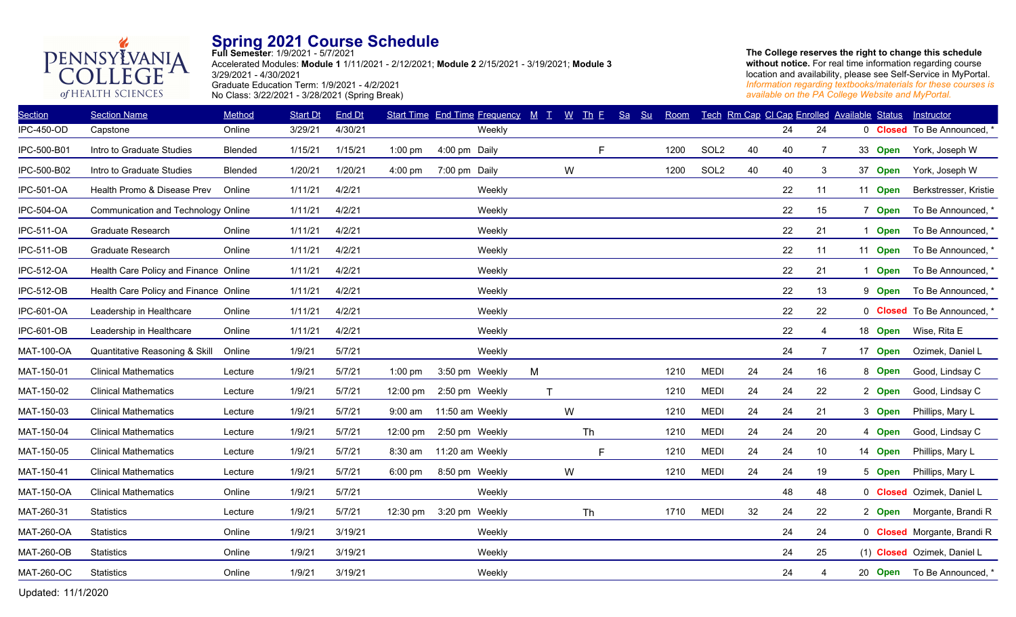

**Full Semester**: 1/9/2021 - 5/7/2021 Accelerated Modules: **Module 1** 1/11/2021 - 2/12/2021; **Module 2** 2/15/2021 - 3/19/2021; **Module 3** 3/29/2021 - 4/30/2021 Graduate Education Term: 1/9/2021 - 4/2/2021 No Class: 3/22/2021 - 3/28/2021 (Spring Break)

**The College reserves the right to change this schedule without notice.** For real time information regarding course location and availability, please see Self-Service in MyPortal. *Information regarding textbooks/materials for these courses is available on the PA College Website and MyPortal.*

| <b>Section</b>    | <b>Section Name</b>                   | Method         | <b>Start Dt</b> | End Dt  |                    | <b>Start Time End Time Frequency</b> | $M$ $T$      | $W$ Th $E$ | Sa<br>S <sub>u</sub> | Room |                  |    |    | Tech Rm Cap CI Cap Enrolled Available Status |         | <b>Instructor</b>                  |
|-------------------|---------------------------------------|----------------|-----------------|---------|--------------------|--------------------------------------|--------------|------------|----------------------|------|------------------|----|----|----------------------------------------------|---------|------------------------------------|
| <b>IPC-450-OD</b> | Capstone                              | Online         | 3/29/21         | 4/30/21 |                    | Weekly                               |              |            |                      |      |                  |    | 24 | 24                                           |         | 0 Closed To Be Announced, *        |
| IPC-500-B01       | Intro to Graduate Studies             | <b>Blended</b> | 1/15/21         | 1/15/21 | $1:00$ pm          | 4:00 pm Daily                        |              | E          |                      | 1200 | SOL <sub>2</sub> | 40 | 40 | $\overline{7}$                               | 33 Open | York, Joseph W                     |
| IPC-500-B02       | Intro to Graduate Studies             | Blended        | 1/20/21         | 1/20/21 | 4:00 pm            | 7:00 pm Daily                        |              | W          |                      | 1200 | SOL <sub>2</sub> | 40 | 40 | 3                                            | 37 Open | York, Joseph W                     |
| <b>IPC-501-OA</b> | Health Promo & Disease Prev           | Online         | 1/11/21         | 4/2/21  |                    | Weekly                               |              |            |                      |      |                  |    | 22 | 11                                           | 11 Open | Berkstresser, Kristie              |
| <b>IPC-504-OA</b> | Communication and Technology Online   |                | 1/11/21         | 4/2/21  |                    | Weekly                               |              |            |                      |      |                  |    | 22 | 15                                           | 7 Open  | To Be Announced, *                 |
| <b>IPC-511-OA</b> | <b>Graduate Research</b>              | Online         | 1/11/21         | 4/2/21  |                    | Weekly                               |              |            |                      |      |                  |    | 22 | 21                                           | 1 Open  | To Be Announced, *                 |
| <b>IPC-511-OB</b> | Graduate Research                     | Online         | 1/11/21         | 4/2/21  |                    | Weekly                               |              |            |                      |      |                  |    | 22 | 11                                           | 11 Open | To Be Announced, *                 |
| <b>IPC-512-OA</b> | Health Care Policy and Finance Online |                | 1/11/21         | 4/2/21  |                    | Weekly                               |              |            |                      |      |                  |    | 22 | 21                                           | 1 Open  | To Be Announced, *                 |
| <b>IPC-512-OB</b> | Health Care Policy and Finance Online |                | 1/11/21         | 4/2/21  |                    | Weekly                               |              |            |                      |      |                  |    | 22 | 13                                           | 9 Open  | To Be Announced, *                 |
| IPC-601-OA        | Leadership in Healthcare              | Online         | 1/11/21         | 4/2/21  |                    | Weekly                               |              |            |                      |      |                  |    | 22 | 22                                           |         | 0 <b>Closed</b> To Be Announced, * |
| IPC-601-OB        | Leadership in Healthcare              | Online         | 1/11/21         | 4/2/21  |                    | Weekly                               |              |            |                      |      |                  |    | 22 | $\overline{4}$                               | 18 Open | Wise, Rita E                       |
| <b>MAT-100-OA</b> | Quantitative Reasoning & Skill        | Online         | 1/9/21          | 5/7/21  |                    | Weekly                               |              |            |                      |      |                  |    | 24 | $\overline{7}$                               | 17 Open | Ozimek, Daniel L                   |
| MAT-150-01        | <b>Clinical Mathematics</b>           | Lecture        | 1/9/21          | 5/7/21  | $1:00$ pm          | 3:50 pm Weekly                       | M            |            |                      | 1210 | <b>MEDI</b>      | 24 | 24 | 16                                           | 8 Open  | Good, Lindsay C                    |
| MAT-150-02        | <b>Clinical Mathematics</b>           | Lecture        | 1/9/21          | 5/7/21  | 12:00 pm           | 2:50 pm Weekly                       | $\mathsf{T}$ |            |                      | 1210 | <b>MEDI</b>      | 24 | 24 | 22                                           | 2 Open  | Good, Lindsay C                    |
| MAT-150-03        | <b>Clinical Mathematics</b>           | Lecture        | 1/9/21          | 5/7/21  | 9:00 am            | 11:50 am Weekly                      |              | W          |                      | 1210 | <b>MEDI</b>      | 24 | 24 | 21                                           | 3 Open  | Phillips, Mary L                   |
| MAT-150-04        | <b>Clinical Mathematics</b>           | Lecture        | 1/9/21          | 5/7/21  | $12:00 \text{ pm}$ | 2:50 pm Weekly                       |              | Th         |                      | 1210 | <b>MEDI</b>      | 24 | 24 | 20                                           | 4 Open  | Good, Lindsay C                    |
| MAT-150-05        | <b>Clinical Mathematics</b>           | Lecture        | 1/9/21          | 5/7/21  | 8:30 am            | 11:20 am Weekly                      |              | F          |                      | 1210 | <b>MEDI</b>      | 24 | 24 | 10 <sup>1</sup>                              | 14 Open | Phillips, Mary L                   |
| MAT-150-41        | <b>Clinical Mathematics</b>           | Lecture        | 1/9/21          | 5/7/21  | $6:00$ pm          | 8:50 pm Weekly                       |              | W          |                      | 1210 | <b>MEDI</b>      | 24 | 24 | 19                                           | 5 Open  | Phillips, Mary L                   |
| <b>MAT-150-OA</b> | <b>Clinical Mathematics</b>           | Online         | 1/9/21          | 5/7/21  |                    | Weekly                               |              |            |                      |      |                  |    | 48 | 48                                           |         | 0 Closed Ozimek, Daniel L          |
| MAT-260-31        | <b>Statistics</b>                     | Lecture        | 1/9/21          | 5/7/21  | 12:30 pm           | 3:20 pm Weekly                       |              | Th         |                      | 1710 | <b>MEDI</b>      | 32 | 24 | 22                                           |         | 2 Open Morgante, Brandi R          |
| <b>MAT-260-OA</b> | <b>Statistics</b>                     | Online         | 1/9/21          | 3/19/21 |                    | Weekly                               |              |            |                      |      |                  |    | 24 | 24                                           |         | 0 Closed Morgante, Brandi R        |
| <b>MAT-260-OB</b> | <b>Statistics</b>                     | Online         | 1/9/21          | 3/19/21 |                    | Weekly                               |              |            |                      |      |                  |    | 24 | 25                                           |         | (1) Closed Ozimek, Daniel L        |
| <b>MAT-260-OC</b> | <b>Statistics</b>                     | Online         | 1/9/21          | 3/19/21 |                    | Weekly                               |              |            |                      |      |                  |    | 24 | $\overline{4}$                               |         | 20 Open To Be Announced, *         |
|                   |                                       |                |                 |         |                    |                                      |              |            |                      |      |                  |    |    |                                              |         |                                    |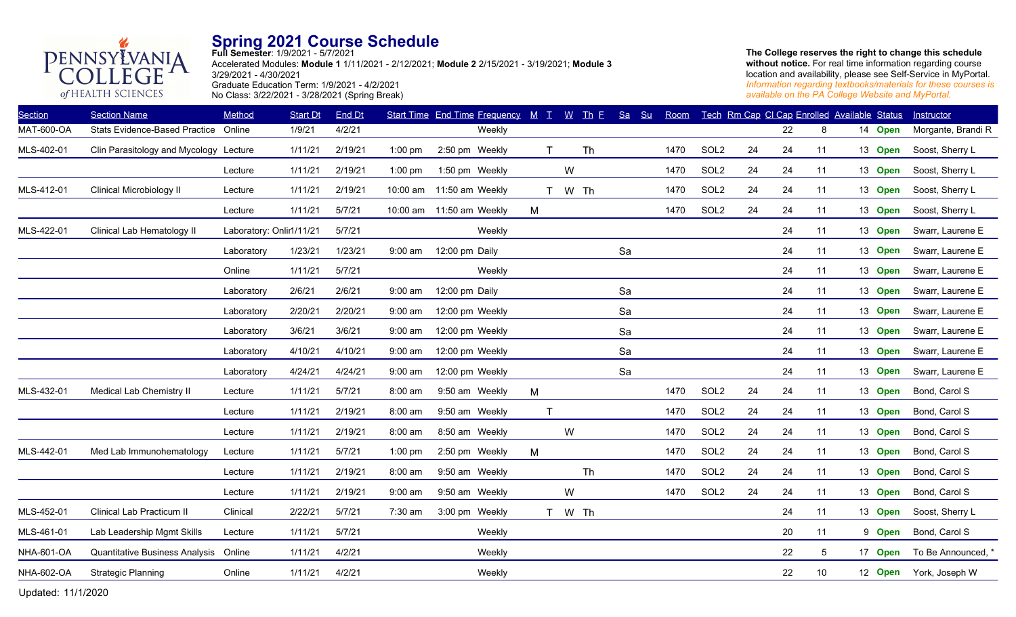

**Full Semester**: 1/9/2021 - 5/7/2021 Accelerated Modules: **Module 1** 1/11/2021 - 2/12/2021; **Module 2** 2/15/2021 - 3/19/2021; **Module 3** 3/29/2021 - 4/30/2021 Graduate Education Term: 1/9/2021 - 4/2/2021 No Class: 3/22/2021 - 3/28/2021 (Spring Break)

**The College reserves the right to change this schedule without notice.** For real time information regarding course location and availability, please see Self-Service in MyPortal. *Information regarding textbooks/materials for these courses is available on the PA College Website and MyPortal.*

| <b>Section</b>    | <b>Section Name</b>                    | Method                   | <b>Start Dt</b> | End Dt  |                   | Start Time End Time Frequency M T |              |        | <u>W Th F</u> | Sa<br>Su | Room |                  |    |    | Tech Rm Cap CI Cap Enrolled Available Status |         | Instructor             |
|-------------------|----------------------------------------|--------------------------|-----------------|---------|-------------------|-----------------------------------|--------------|--------|---------------|----------|------|------------------|----|----|----------------------------------------------|---------|------------------------|
| MAT-600-OA        | Stats Evidence-Based Practice Online   |                          | 1/9/21          | 4/2/21  |                   | Weekly                            |              |        |               |          |      |                  |    | 22 | 8                                            | 14 Open | Morgante, Brandi R     |
| MLS-402-01        | Clin Parasitology and Mycology Lecture |                          | 1/11/21         | 2/19/21 | $1:00$ pm         | 2:50 pm Weekly                    | T            |        | Th            |          | 1470 | SOL <sub>2</sub> | 24 | 24 | 11                                           | 13 Open | Soost, Sherry L        |
|                   |                                        | Lecture                  | 1/11/21         | 2/19/21 | $1:00$ pm         | 1:50 pm Weekly                    |              | W      |               |          | 1470 | SOL <sub>2</sub> | 24 | 24 | 11                                           | 13 Open | Soost, Sherry L        |
| MLS-412-01        | Clinical Microbiology II               | Lecture                  | 1/11/21         | 2/19/21 | 10:00 am          | 11:50 am Weekly                   | T            | W Th   |               |          | 1470 | SOL <sub>2</sub> | 24 | 24 | 11                                           | 13 Open | Soost, Sherry L        |
|                   |                                        | Lecture                  | 1/11/21         | 5/7/21  |                   | 10:00 am 11:50 am Weekly          | M            |        |               |          | 1470 | SOL <sub>2</sub> | 24 | 24 | 11                                           | 13 Open | Soost, Sherry L        |
| MLS-422-01        | Clinical Lab Hematology II             | Laboratory: Onlir1/11/21 |                 | 5/7/21  |                   | Weekly                            |              |        |               |          |      |                  |    | 24 | 11                                           | 13 Open | Swarr, Laurene E       |
|                   |                                        | Laboratory               | 1/23/21         | 1/23/21 | $9:00 \text{ am}$ | 12:00 pm Daily                    |              |        |               | Sa       |      |                  |    | 24 | 11                                           | 13 Open | Swarr, Laurene E       |
|                   |                                        | Online                   | 1/11/21         | 5/7/21  |                   | Weekly                            |              |        |               |          |      |                  |    | 24 | 11                                           | 13 Open | Swarr, Laurene E       |
|                   |                                        | Laboratory               | 2/6/21          | 2/6/21  | $9:00$ am         | 12:00 pm Daily                    |              |        |               | Sa       |      |                  |    | 24 | 11                                           | 13 Open | Swarr, Laurene E       |
|                   |                                        | Laboratory               | 2/20/21         | 2/20/21 | $9:00$ am         | 12:00 pm Weekly                   |              |        |               | Sa       |      |                  |    | 24 | 11                                           | 13 Open | Swarr, Laurene E       |
|                   |                                        | Laboratory               | 3/6/21          | 3/6/21  | $9:00$ am         | 12:00 pm Weekly                   |              |        |               | Sa       |      |                  |    | 24 | 11                                           | 13 Open | Swarr, Laurene E       |
|                   |                                        | Laboratory               | 4/10/21         | 4/10/21 | $9:00$ am         | 12:00 pm Weekly                   |              |        |               | Sa       |      |                  |    | 24 | 11                                           | 13 Open | Swarr, Laurene E       |
|                   |                                        | Laboratory               | 4/24/21         | 4/24/21 | $9:00$ am         | 12:00 pm Weekly                   |              |        |               | Sa       |      |                  |    | 24 | 11                                           | 13 Open | Swarr, Laurene E       |
| MLS-432-01        | Medical Lab Chemistry II               | Lecture                  | 1/11/21         | 5/7/21  | 8:00 am           | 9:50 am Weekly                    | M            |        |               |          | 1470 | SOL <sub>2</sub> | 24 | 24 | 11                                           | 13 Open | Bond, Carol S          |
|                   |                                        | Lecture                  | 1/11/21         | 2/19/21 | 8:00 am           | 9:50 am Weekly                    | $\mathsf{T}$ |        |               |          | 1470 | SOL <sub>2</sub> | 24 | 24 | 11                                           | 13 Open | Bond, Carol S          |
|                   |                                        | Lecture                  | 1/11/21         | 2/19/21 | 8:00 am           | 8:50 am Weekly                    |              | W      |               |          | 1470 | SOL <sub>2</sub> | 24 | 24 | 11                                           | 13 Open | Bond, Carol S          |
| MLS-442-01        | Med Lab Immunohematology               | Lecture                  | 1/11/21         | 5/7/21  | $1:00$ pm         | 2:50 pm Weekly                    | M            |        |               |          | 1470 | SOL <sub>2</sub> | 24 | 24 | 11                                           | 13 Open | Bond, Carol S          |
|                   |                                        | Lecture                  | 1/11/21         | 2/19/21 | 8:00 am           | 9:50 am Weekly                    |              |        | Th            |          | 1470 | SOL <sub>2</sub> | 24 | 24 | 11                                           | 13 Open | Bond, Carol S          |
|                   |                                        | Lecture                  | 1/11/21         | 2/19/21 | $9:00$ am         | 9:50 am Weekly                    |              | W      |               |          | 1470 | SOL <sub>2</sub> | 24 | 24 | 11                                           | 13 Open | Bond, Carol S          |
| MLS-452-01        | Clinical Lab Practicum II              | Clinical                 | 2/22/21         | 5/7/21  | 7:30 am           | 3:00 pm Weekly                    |              | T W Th |               |          |      |                  |    | 24 | 11                                           | 13 Open | Soost, Sherry L        |
| MLS-461-01        | Lab Leadership Mgmt Skills             | Lecture                  | 1/11/21         | 5/7/21  |                   | Weekly                            |              |        |               |          |      |                  |    | 20 | 11                                           | 9 Open  | Bond, Carol S          |
| <b>NHA-601-OA</b> | Quantitative Business Analysis         | Online                   | 1/11/21         | 4/2/21  |                   | Weekly                            |              |        |               |          |      |                  |    | 22 | 5                                            | 17 Open | To Be Announced, *     |
| <b>NHA-602-OA</b> | <b>Strategic Planning</b>              | Online                   | 1/11/21         | 4/2/21  |                   | Weekly                            |              |        |               |          |      |                  |    | 22 | 10 <sup>°</sup>                              |         | 12 Open York, Joseph W |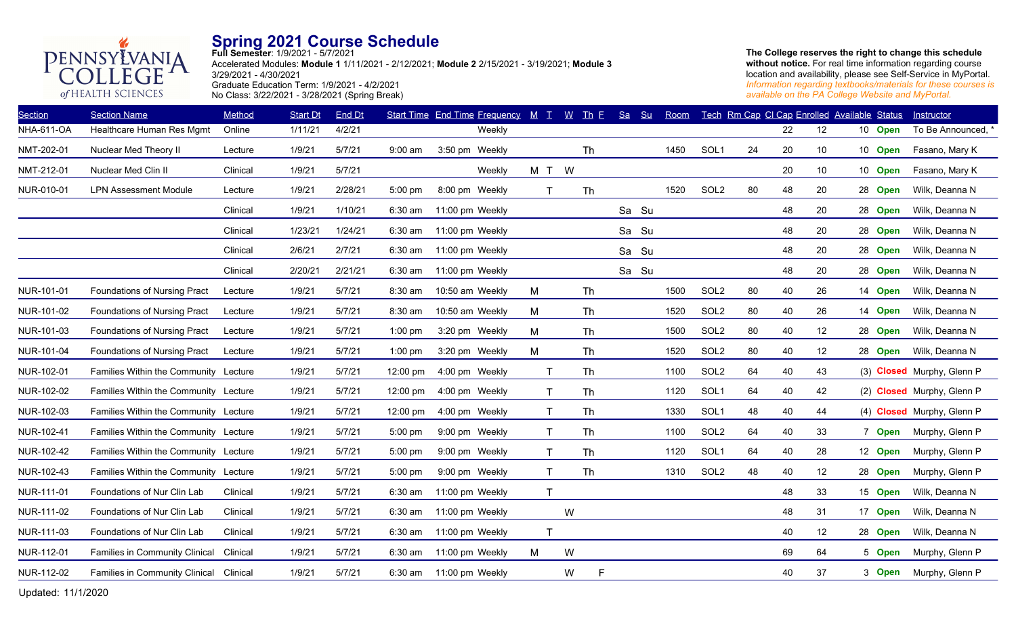

**Full Semester**: 1/9/2021 - 5/7/2021 Accelerated Modules: **Module 1** 1/11/2021 - 2/12/2021; **Module 2** 2/15/2021 - 3/19/2021; **Module 3** 3/29/2021 - 4/30/2021 Graduate Education Term: 1/9/2021 - 4/2/2021 No Class: 3/22/2021 - 3/28/2021 (Spring Break)

**The College reserves the right to change this schedule without notice.** For real time information regarding course location and availability, please see Self-Service in MyPortal. *Information regarding textbooks/materials for these courses is available on the PA College Website and MyPortal.*

| <b>Section</b>    | <b>Section Name</b>                   | Method   | <b>Start Dt</b> | End Dt  |           | <b>Start Time End Time Frequency</b> | $M$ $T$      | $\underline{W}$ | $\mathbf{I}$ $\mathbf{h}$ $\mathbf{E}$ | Sa | S <sub>u</sub> | Room |                  |    | Tech Rm Cap CI Cap Enrolled Available Status |    |         | <b>Instructor</b>          |
|-------------------|---------------------------------------|----------|-----------------|---------|-----------|--------------------------------------|--------------|-----------------|----------------------------------------|----|----------------|------|------------------|----|----------------------------------------------|----|---------|----------------------------|
| <b>NHA-611-OA</b> | Healthcare Human Res Mgmt             | Online   | 1/11/21         | 4/2/21  |           | Weekly                               |              |                 |                                        |    |                |      |                  |    | 22                                           | 12 | 10 Open | To Be Announced, *         |
| NMT-202-01        | Nuclear Med Theory II                 | Lecture  | 1/9/21          | 5/7/21  | $9:00$ am | 3:50 pm Weekly                       |              |                 | Th                                     |    |                | 1450 | SOL <sub>1</sub> | 24 | 20                                           | 10 | 10 Open | Fasano, Mary K             |
| NMT-212-01        | Nuclear Med Clin II                   | Clinical | 1/9/21          | 5/7/21  |           | Weekly                               | M T W        |                 |                                        |    |                |      |                  |    | 20                                           | 10 | 10 Open | Fasano, Mary K             |
| NUR-010-01        | <b>LPN Assessment Module</b>          | Lecture  | 1/9/21          | 2/28/21 | 5:00 pm   | 8:00 pm Weekly                       | $\mathsf{T}$ |                 | Th                                     |    |                | 1520 | SOL <sub>2</sub> | 80 | 48                                           | 20 | 28 Open | Wilk, Deanna N             |
|                   |                                       | Clinical | 1/9/21          | 1/10/21 | $6:30$ am | 11:00 pm Weekly                      |              |                 |                                        |    | Sa Su          |      |                  |    | 48                                           | 20 | 28 Open | Wilk, Deanna N             |
|                   |                                       | Clinical | 1/23/21         | 1/24/21 | 6:30 am   | 11:00 pm Weekly                      |              |                 |                                        |    | Sa Su          |      |                  |    | 48                                           | 20 | 28 Open | Wilk, Deanna N             |
|                   |                                       | Clinical | 2/6/21          | 2/7/21  | $6:30$ am | 11:00 pm Weekly                      |              |                 |                                        |    | Sa Su          |      |                  |    | 48                                           | 20 | 28 Open | Wilk, Deanna N             |
|                   |                                       | Clinical | 2/20/21         | 2/21/21 | 6:30 am   | 11:00 pm Weekly                      |              |                 |                                        |    | Sa Su          |      |                  |    | 48                                           | 20 | 28 Open | Wilk, Deanna N             |
| NUR-101-01        | Foundations of Nursing Pract          | Lecture  | 1/9/21          | 5/7/21  | 8:30 am   | 10:50 am Weekly                      | M            |                 | Th                                     |    |                | 1500 | SOL <sub>2</sub> | 80 | 40                                           | 26 | 14 Open | Wilk, Deanna N             |
| NUR-101-02        | <b>Foundations of Nursing Pract</b>   | Lecture  | 1/9/21          | 5/7/21  | 8:30 am   | 10:50 am Weekly                      | M            |                 | Th                                     |    |                | 1520 | SOL <sub>2</sub> | 80 | 40                                           | 26 | 14 Open | Wilk, Deanna N             |
| NUR-101-03        | Foundations of Nursing Pract          | Lecture  | 1/9/21          | 5/7/21  | 1:00 pm   | 3:20 pm Weekly                       | M            |                 | Th                                     |    |                | 1500 | SOL <sub>2</sub> | 80 | 40                                           | 12 | 28 Open | Wilk, Deanna N             |
| NUR-101-04        | Foundations of Nursing Pract          | Lecture  | 1/9/21          | 5/7/21  | $1:00$ pm | 3:20 pm Weekly                       | M            |                 | <b>Th</b>                              |    |                | 1520 | SOL <sub>2</sub> | 80 | 40                                           | 12 | 28 Open | Wilk, Deanna N             |
| NUR-102-01        | Families Within the Community Lecture |          | 1/9/21          | 5/7/21  | 12:00 pm  | 4:00 pm Weekly                       | T            |                 | Th                                     |    |                | 1100 | SOL <sub>2</sub> | 64 | 40                                           | 43 |         | (3) Closed Murphy, Glenn P |
| NUR-102-02        | Families Within the Community Lecture |          | 1/9/21          | 5/7/21  | 12:00 pm  | 4:00 pm Weekly                       | $\mathsf{T}$ |                 | Th                                     |    |                | 1120 | SOL <sub>1</sub> | 64 | 40                                           | 42 |         | (2) Closed Murphy, Glenn P |
| NUR-102-03        | Families Within the Community Lecture |          | 1/9/21          | 5/7/21  | 12:00 pm  | 4:00 pm Weekly                       | $\mathsf{T}$ |                 | <b>Th</b>                              |    |                | 1330 | SOL <sub>1</sub> | 48 | 40                                           | 44 |         | (4) Closed Murphy, Glenn P |
| NUR-102-41        | Families Within the Community Lecture |          | 1/9/21          | 5/7/21  | 5:00 pm   | 9:00 pm Weekly                       | $\mathsf{T}$ |                 | Th                                     |    |                | 1100 | SOL <sub>2</sub> | 64 | 40                                           | 33 | 7 Open  | Murphy, Glenn P            |
| NUR-102-42        | Families Within the Community Lecture |          | 1/9/21          | 5/7/21  | 5:00 pm   | 9:00 pm Weekly                       | $\mathsf T$  |                 | Th                                     |    |                | 1120 | SOL1             | 64 | 40                                           | 28 | 12 Open | Murphy, Glenn P            |
| NUR-102-43        | Families Within the Community Lecture |          | 1/9/21          | 5/7/21  | 5:00 pm   | 9:00 pm Weekly                       | T            |                 | Th                                     |    |                | 1310 | SOL <sub>2</sub> | 48 | 40                                           | 12 | 28 Open | Murphy, Glenn P            |
| NUR-111-01        | Foundations of Nur Clin Lab           | Clinical | 1/9/21          | 5/7/21  | $6:30$ am | 11:00 pm Weekly                      | $\mathsf{T}$ |                 |                                        |    |                |      |                  |    | 48                                           | 33 | 15 Open | Wilk, Deanna N             |
| NUR-111-02        | Foundations of Nur Clin Lab           | Clinical | 1/9/21          | 5/7/21  | 6:30 am   | 11:00 pm Weekly                      |              | W               |                                        |    |                |      |                  |    | 48                                           | 31 | 17 Open | Wilk, Deanna N             |
| NUR-111-03        | Foundations of Nur Clin Lab           | Clinical | 1/9/21          | 5/7/21  | 6:30 am   | 11:00 pm Weekly                      | $\mathsf{T}$ |                 |                                        |    |                |      |                  |    | 40                                           | 12 | 28 Open | Wilk, Deanna N             |
| NUR-112-01        | Families in Community Clinical        | Clinical | 1/9/21          | 5/7/21  | 6:30 am   | 11:00 pm Weekly                      | M            | W               |                                        |    |                |      |                  |    | 69                                           | 64 | 5 Open  | Murphy, Glenn P            |
| NUR-112-02        | Families in Community Clinical        | Clinical | 1/9/21          | 5/7/21  | $6:30$ am | 11:00 pm Weekly                      |              | W               | F                                      |    |                |      |                  |    | 40                                           | 37 | 3 Open  | Murphy, Glenn P            |
|                   |                                       |          |                 |         |           |                                      |              |                 |                                        |    |                |      |                  |    |                                              |    |         |                            |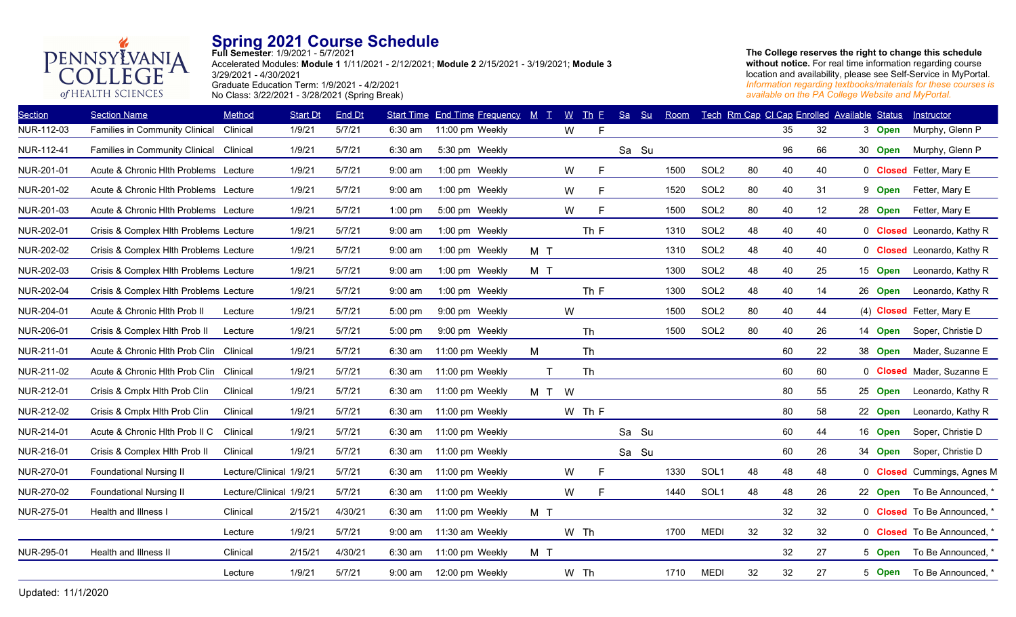

**Full Semester**: 1/9/2021 - 5/7/2021 Accelerated Modules: **Module 1** 1/11/2021 - 2/12/2021; **Module 2** 2/15/2021 - 3/19/2021; **Module 3** 3/29/2021 - 4/30/2021 Graduate Education Term: 1/9/2021 - 4/2/2021 No Class: 3/22/2021 - 3/28/2021 (Spring Break)

| <b>Section Name</b>            | Method   | <b>Start Dt</b>                                                                                                                                                                                                                                                                                                                                        | End Dt                                             |           |                 |                                                                                                                                                      |                                   |           |                                      | Su | Room                          |                  |    |                |    |  | Instructor                                                                                                                                                                                          |
|--------------------------------|----------|--------------------------------------------------------------------------------------------------------------------------------------------------------------------------------------------------------------------------------------------------------------------------------------------------------------------------------------------------------|----------------------------------------------------|-----------|-----------------|------------------------------------------------------------------------------------------------------------------------------------------------------|-----------------------------------|-----------|--------------------------------------|----|-------------------------------|------------------|----|----------------|----|--|-----------------------------------------------------------------------------------------------------------------------------------------------------------------------------------------------------|
| Families in Community Clinical | Clinical | 1/9/21                                                                                                                                                                                                                                                                                                                                                 | 5/7/21                                             | $6:30$ am |                 |                                                                                                                                                      | W                                 | F.        |                                      |    |                               |                  |    | 35             | 32 |  | Murphy, Glenn P                                                                                                                                                                                     |
| Families in Community Clinical | Clinical | 1/9/21                                                                                                                                                                                                                                                                                                                                                 | 5/7/21                                             | 6:30 am   | 5:30 pm Weekly  |                                                                                                                                                      |                                   |           |                                      |    |                               |                  |    | 96             | 66 |  | Murphy, Glenn P                                                                                                                                                                                     |
|                                |          | 1/9/21                                                                                                                                                                                                                                                                                                                                                 | 5/7/21                                             | $9:00$ am | 1:00 pm Weekly  |                                                                                                                                                      | W                                 | F.        |                                      |    | 1500                          | SOL <sub>2</sub> | 80 | 40             | 40 |  | 0 Closed Fetter, Mary E                                                                                                                                                                             |
|                                |          | 1/9/21                                                                                                                                                                                                                                                                                                                                                 | 5/7/21                                             | $9:00$ am | 1:00 pm Weekly  |                                                                                                                                                      | W                                 | F.        |                                      |    | 1520                          | SOL <sub>2</sub> |    | 40             | 31 |  | Fetter, Mary E                                                                                                                                                                                      |
|                                |          | 1/9/21                                                                                                                                                                                                                                                                                                                                                 | 5/7/21                                             | $1:00$ pm | 5:00 pm Weekly  |                                                                                                                                                      | W                                 | F         |                                      |    | 1500                          | SOL <sub>2</sub> |    | 40             | 12 |  | Fetter, Mary E                                                                                                                                                                                      |
|                                |          | 1/9/21                                                                                                                                                                                                                                                                                                                                                 | 5/7/21                                             | $9:00$ am | 1:00 pm Weekly  |                                                                                                                                                      |                                   | Th F      |                                      |    | 1310                          | SOL <sub>2</sub> | 48 | 40             | 40 |  | 0 <b>Closed</b> Leonardo, Kathy R                                                                                                                                                                   |
|                                |          | 1/9/21                                                                                                                                                                                                                                                                                                                                                 | 5/7/21                                             | $9:00$ am | 1:00 pm Weekly  | M T                                                                                                                                                  |                                   |           |                                      |    | 1310                          | SOL <sub>2</sub> | 48 | 40             | 40 |  | 0 <b>Closed</b> Leonardo, Kathy R                                                                                                                                                                   |
|                                |          | 1/9/21                                                                                                                                                                                                                                                                                                                                                 | 5/7/21                                             | $9:00$ am | 1:00 pm Weekly  | M T                                                                                                                                                  |                                   |           |                                      |    | 1300                          | SOL <sub>2</sub> | 48 | 40             | 25 |  | Leonardo, Kathy R                                                                                                                                                                                   |
|                                |          | 1/9/21                                                                                                                                                                                                                                                                                                                                                 | 5/7/21                                             | $9:00$ am | 1:00 pm Weekly  |                                                                                                                                                      |                                   | Th F      |                                      |    | 1300                          | SOL <sub>2</sub> | 48 | 40             | 14 |  | Leonardo, Kathy R                                                                                                                                                                                   |
| Acute & Chronic Hith Prob II   | Lecture  | 1/9/21                                                                                                                                                                                                                                                                                                                                                 | 5/7/21                                             | 5:00 pm   | 9:00 pm Weekly  |                                                                                                                                                      | W                                 |           |                                      |    | 1500                          | SOL <sub>2</sub> |    | 40             | 44 |  | (4) Closed Fetter, Mary E                                                                                                                                                                           |
| Crisis & Complex Hlth Prob II  | Lecture  | 1/9/21                                                                                                                                                                                                                                                                                                                                                 | 5/7/21                                             | $5:00$ pm | 9:00 pm Weekly  |                                                                                                                                                      |                                   | Th        |                                      |    | 1500                          | SOL <sub>2</sub> | 80 | 40             | 26 |  | Soper, Christie D                                                                                                                                                                                   |
| Acute & Chronic Hith Prob Clin |          | 1/9/21                                                                                                                                                                                                                                                                                                                                                 | 5/7/21                                             | $6:30$ am | 11:00 pm Weekly | M                                                                                                                                                    |                                   | <b>Th</b> |                                      |    |                               |                  |    | 60             | 22 |  | Mader, Suzanne E                                                                                                                                                                                    |
|                                |          | 1/9/21                                                                                                                                                                                                                                                                                                                                                 | 5/7/21                                             | $6:30$ am |                 | T                                                                                                                                                    |                                   | Th        |                                      |    |                               |                  |    | 60             | 60 |  | 0 Closed Mader, Suzanne E                                                                                                                                                                           |
| Crisis & Cmplx Hlth Prob Clin  | Clinical | 1/9/21                                                                                                                                                                                                                                                                                                                                                 | 5/7/21                                             | $6:30$ am |                 |                                                                                                                                                      |                                   |           |                                      |    |                               |                  |    | 80             | 55 |  | Leonardo, Kathy R                                                                                                                                                                                   |
| Crisis & Cmplx Hlth Prob Clin  | Clinical | 1/9/21                                                                                                                                                                                                                                                                                                                                                 | 5/7/21                                             | $6:30$ am |                 |                                                                                                                                                      |                                   |           |                                      |    |                               |                  |    | 80             | 58 |  | Leonardo, Kathy R                                                                                                                                                                                   |
| Acute & Chronic Hith Prob II C | Clinical | 1/9/21                                                                                                                                                                                                                                                                                                                                                 | 5/7/21                                             | $6:30$ am |                 |                                                                                                                                                      |                                   |           |                                      |    |                               |                  |    | 60             | 44 |  | Soper, Christie D                                                                                                                                                                                   |
| Crisis & Complex Hlth Prob II  | Clinical | 1/9/21                                                                                                                                                                                                                                                                                                                                                 | 5/7/21                                             | $6:30$ am |                 |                                                                                                                                                      |                                   |           |                                      |    |                               |                  |    | 60             | 26 |  | Soper, Christie D                                                                                                                                                                                   |
| <b>Foundational Nursing II</b> |          |                                                                                                                                                                                                                                                                                                                                                        | 5/7/21                                             | $6:30$ am |                 |                                                                                                                                                      | W                                 | F.        |                                      |    | 1330                          | SOL <sub>1</sub> | 48 | 48             | 48 |  | 0 <b>Closed</b> Cummings, Agnes M                                                                                                                                                                   |
| <b>Foundational Nursing II</b> |          |                                                                                                                                                                                                                                                                                                                                                        | 5/7/21                                             | $6:30$ am | 11:00 pm Weekly |                                                                                                                                                      | W                                 | F.        |                                      |    | 1440                          | SOL <sub>1</sub> | 48 | 48             | 26 |  | To Be Announced, *                                                                                                                                                                                  |
| Health and Illness I           | Clinical | 2/15/21                                                                                                                                                                                                                                                                                                                                                | 4/30/21                                            | $6:30$ am | 11:00 pm Weekly | M T                                                                                                                                                  |                                   |           |                                      |    |                               |                  |    | 32             | 32 |  | 0 Closed To Be Announced, *                                                                                                                                                                         |
|                                | Lecture  | 1/9/21                                                                                                                                                                                                                                                                                                                                                 | 5/7/21                                             | 9:00 am   |                 |                                                                                                                                                      |                                   |           |                                      |    | 1700                          | <b>MEDI</b>      | 32 | 32             | 32 |  | 0 <b>Closed</b> To Be Announced, *                                                                                                                                                                  |
| Health and Illness II          | Clinical | 2/15/21                                                                                                                                                                                                                                                                                                                                                | 4/30/21                                            | $6:30$ am | 11:00 pm Weekly | M T                                                                                                                                                  |                                   |           |                                      |    |                               |                  |    | 32             | 27 |  | To Be Announced, *                                                                                                                                                                                  |
|                                | Lecture  | 1/9/21                                                                                                                                                                                                                                                                                                                                                 | 5/7/21                                             | $9:00$ am | 12:00 pm Weekly |                                                                                                                                                      |                                   |           |                                      |    | 1710                          | <b>MEDI</b>      | 32 | 32             | 27 |  | 5 Open To Be Announced, *                                                                                                                                                                           |
|                                |          | Acute & Chronic Hith Problems Lecture<br>Acute & Chronic Hlth Problems Lecture<br>Acute & Chronic Hlth Problems Lecture<br>Crisis & Complex Hith Problems Lecture<br>Crisis & Complex Hlth Problems Lecture<br>Crisis & Complex Hlth Problems Lecture<br>Crisis & Complex Hlth Problems Lecture<br>Clinical<br>Acute & Chronic Hlth Prob Clin Clinical | Lecture/Clinical 1/9/21<br>Lecture/Clinical 1/9/21 |           |                 | 11:00 pm Weekly<br>11:00 pm Weekly<br>11:00 pm Weekly<br>11:00 pm Weekly<br>11:00 pm Weekly<br>11:00 pm Weekly<br>11:00 pm Weekly<br>11:30 am Weekly | Start Time End Time Frequency M T | M T W     | $W$ Th $E$<br>W Th F<br>W Th<br>W Th |    | Sa<br>Sa Su<br>Sa Su<br>Sa Su |                  |    | 80<br>80<br>80 |    |  | Tech Rm Cap CI Cap Enrolled Available Status<br>3 Open<br>30 Open<br>9 Open<br>28 Open<br>15 Open<br>26 Open<br>14 Open<br>38 Open<br>25 Open<br>22 Open<br>16 Open<br>34 Open<br>22 Open<br>5 Open |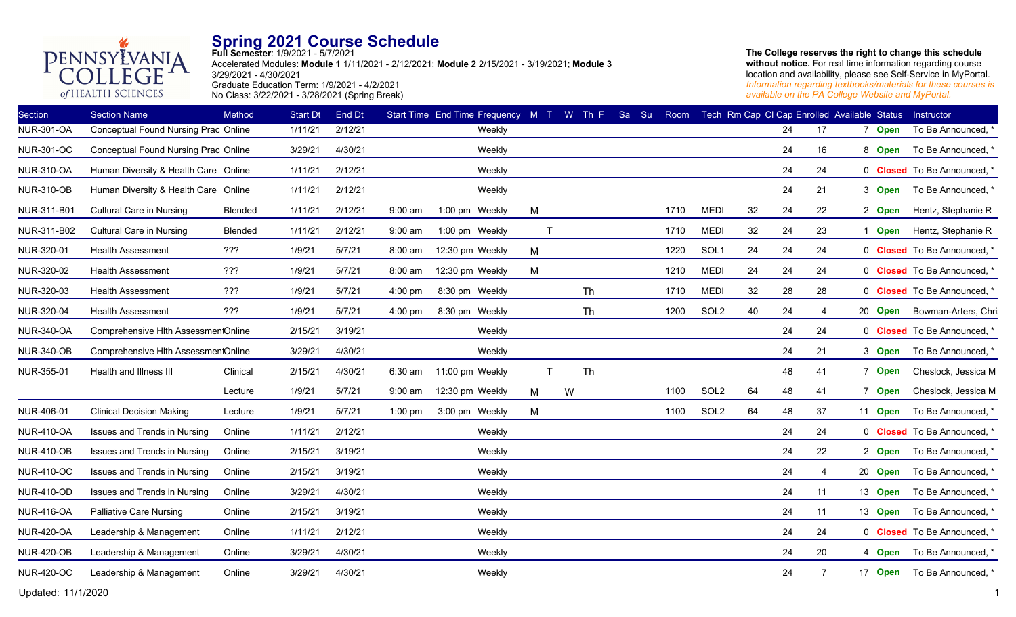

**Full Semester**: 1/9/2021 - 5/7/2021 Accelerated Modules: **Module 1** 1/11/2021 - 2/12/2021; **Module 2** 2/15/2021 - 3/19/2021; **Module 3** 3/29/2021 - 4/30/2021 Graduate Education Term: 1/9/2021 - 4/2/2021 No Class: 3/22/2021 - 3/28/2021 (Spring Break)

**The College reserves the right to change this schedule without notice.** For real time information regarding course location and availability, please see Self-Service in MyPortal. *Information regarding textbooks/materials for these courses is available on the PA College Website and MyPortal.*

| <b>Section</b>    | <b>Section Name</b>                  | Method   | <b>Start Dt</b> | End Dt  |                   | Start Time End Time Frequency M T |   | $W$ Th E | <b>Sa</b><br>Su | Room |                  |    |    | Tech Rm Cap CI Cap Enrolled Available Status |         | Instructor                         |
|-------------------|--------------------------------------|----------|-----------------|---------|-------------------|-----------------------------------|---|----------|-----------------|------|------------------|----|----|----------------------------------------------|---------|------------------------------------|
| <b>NUR-301-OA</b> | Conceptual Found Nursing Prac Online |          | 1/11/21         | 2/12/21 |                   | Weekly                            |   |          |                 |      |                  |    | 24 | 17                                           | 7 Open  | To Be Announced, *                 |
| <b>NUR-301-OC</b> | Conceptual Found Nursing Prac Online |          | 3/29/21         | 4/30/21 |                   | Weekly                            |   |          |                 |      |                  |    | 24 | 16                                           | 8 Open  | To Be Announced, *                 |
| <b>NUR-310-OA</b> | Human Diversity & Health Care Online |          | 1/11/21         | 2/12/21 |                   | Weekly                            |   |          |                 |      |                  |    | 24 | 24                                           |         | 0 Closed To Be Announced, *        |
| <b>NUR-310-OB</b> | Human Diversity & Health Care Online |          | 1/11/21         | 2/12/21 |                   | Weekly                            |   |          |                 |      |                  |    | 24 | 21                                           | 3 Open  | To Be Announced, *                 |
| NUR-311-B01       | <b>Cultural Care in Nursing</b>      | Blended  | 1/11/21         | 2/12/21 | $9:00$ am         | 1:00 pm Weekly                    | M |          |                 | 1710 | <b>MEDI</b>      | 32 | 24 | 22                                           | 2 Open  | Hentz, Stephanie R                 |
| NUR-311-B02       | <b>Cultural Care in Nursing</b>      | Blended  | 1/11/21         | 2/12/21 | $9:00$ am         | 1:00 pm Weekly                    |   |          |                 | 1710 | <b>MEDI</b>      | 32 | 24 | 23                                           | 1 Open  | Hentz, Stephanie R                 |
| NUR-320-01        | <b>Health Assessment</b>             | ???      | 1/9/21          | 5/7/21  | 8:00 am           | 12:30 pm Weekly                   | M |          |                 | 1220 | SOL1             | 24 | 24 | 24                                           |         | 0 Closed To Be Announced, *        |
| NUR-320-02        | <b>Health Assessment</b>             | ???      | 1/9/21          | 5/7/21  | 8:00 am           | 12:30 pm Weekly                   | M |          |                 | 1210 | <b>MEDI</b>      | 24 | 24 | 24                                           |         | 0 Closed To Be Announced, *        |
| NUR-320-03        | <b>Health Assessment</b>             | ???      | 1/9/21          | 5/7/21  | 4:00 pm           | 8:30 pm Weekly                    |   | Th       |                 | 1710 | <b>MEDI</b>      | 32 | 28 | 28                                           |         | 0 Closed To Be Announced, *        |
| NUR-320-04        | <b>Health Assessment</b>             | ???      | 1/9/21          | 5/7/21  | $4:00 \text{ pm}$ | 8:30 pm Weekly                    |   | Th       |                 | 1200 | SOL <sub>2</sub> | 40 | 24 | 4                                            | 20 Open | Bowman-Arters, Chri:               |
| <b>NUR-340-OA</b> | Comprehensive Hlth AssessmentOnline  |          | 2/15/21         | 3/19/21 |                   | Weekly                            |   |          |                 |      |                  |    | 24 | 24                                           |         | 0 Closed To Be Announced, *        |
| <b>NUR-340-OB</b> | Comprehensive Hlth AssessmentOnline  |          | 3/29/21         | 4/30/21 |                   | Weekly                            |   |          |                 |      |                  |    | 24 | 21                                           | 3 Open  | To Be Announced, *                 |
| NUR-355-01        | Health and Illness III               | Clinical | 2/15/21         | 4/30/21 | 6:30 am           | 11:00 pm Weekly                   |   | Th       |                 |      |                  |    | 48 | 41                                           | 7 Open  | Cheslock, Jessica M                |
|                   |                                      | Lecture  | 1/9/21          | 5/7/21  | 9:00 am           | 12:30 pm Weekly                   | M | W        |                 | 1100 | SOL <sub>2</sub> | 64 | 48 | 41                                           | 7 Open  | Cheslock, Jessica M                |
| NUR-406-01        | <b>Clinical Decision Making</b>      | Lecture  | 1/9/21          | 5/7/21  | $1:00$ pm         | 3:00 pm Weekly                    | M |          |                 | 1100 | SOL <sub>2</sub> | 64 | 48 | 37                                           | 11 Open | To Be Announced, *                 |
| <b>NUR-410-OA</b> | Issues and Trends in Nursing         | Online   | 1/11/21         | 2/12/21 |                   | Weekly                            |   |          |                 |      |                  |    | 24 | 24                                           |         | 0 <b>Closed</b> To Be Announced, * |
| <b>NUR-410-OB</b> | Issues and Trends in Nursing         | Online   | 2/15/21         | 3/19/21 |                   | Weekly                            |   |          |                 |      |                  |    | 24 | 22                                           | 2 Open  | To Be Announced, *                 |
| <b>NUR-410-OC</b> | Issues and Trends in Nursing         | Online   | 2/15/21         | 3/19/21 |                   | Weekly                            |   |          |                 |      |                  |    | 24 | 4                                            | 20 Open | To Be Announced, *                 |
| <b>NUR-410-OD</b> | Issues and Trends in Nursing         | Online   | 3/29/21         | 4/30/21 |                   | Weekly                            |   |          |                 |      |                  |    | 24 | 11                                           | 13 Open | To Be Announced, *                 |
| <b>NUR-416-OA</b> | <b>Palliative Care Nursing</b>       | Online   | 2/15/21         | 3/19/21 |                   | Weekly                            |   |          |                 |      |                  |    | 24 | 11                                           | 13 Open | To Be Announced, *                 |
| <b>NUR-420-OA</b> | Leadership & Management              | Online   | 1/11/21         | 2/12/21 |                   | Weekly                            |   |          |                 |      |                  |    | 24 | 24                                           |         | 0 Closed To Be Announced, *        |
| <b>NUR-420-OB</b> | Leadership & Management              | Online   | 3/29/21         | 4/30/21 |                   | Weekly                            |   |          |                 |      |                  |    | 24 | 20                                           | 4 Open  | To Be Announced, *                 |
| <b>NUR-420-OC</b> | Leadership & Management              | Online   | 3/29/21         | 4/30/21 |                   | Weekly                            |   |          |                 |      |                  |    | 24 | 7                                            | 17 Open | To Be Announced, *                 |
|                   |                                      |          |                 |         |                   |                                   |   |          |                 |      |                  |    |    |                                              |         |                                    |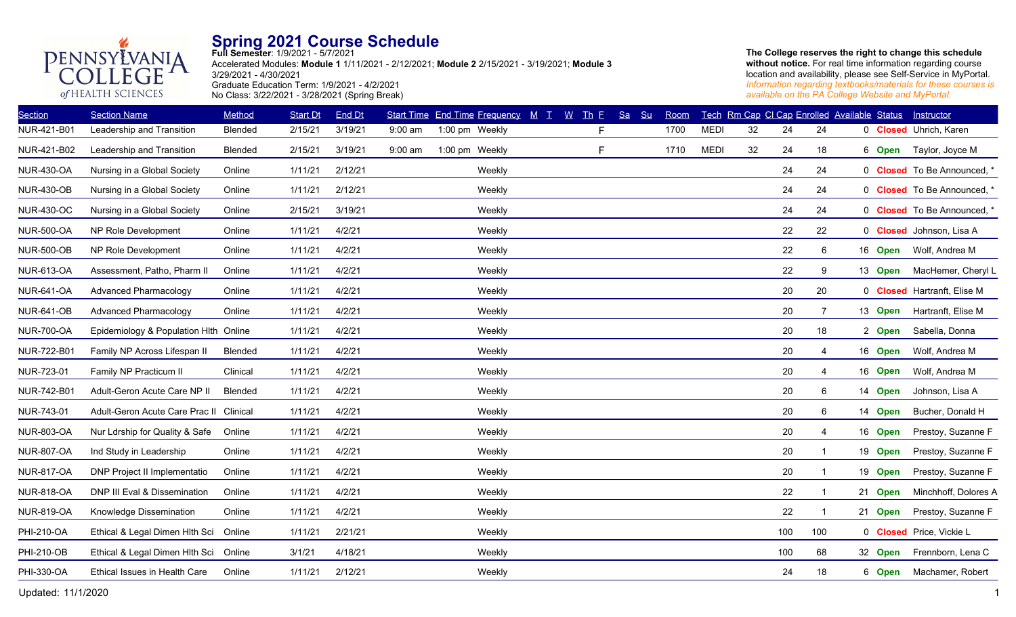

**Full Semester**: 1/9/2021 - 5/7/2021 Accelerated Modules: **Module 1** 1/11/2021 - 2/12/2021; **Module 2** 2/15/2021 - 3/19/2021; **Module 3** 3/29/2021 - 4/30/2021 Graduate Education Term: 1/9/2021 - 4/2/2021 No Class: 3/22/2021 - 3/28/2021 (Spring Break)

**The College reserves the right to change this schedule without notice.** For real time information regarding course location and availability, please see Self-Service in MyPortal. *Information regarding textbooks/materials for these courses is available on the PA College Website and MyPortal.*

| <b>Section Name</b>            | Method   | <b>Start Dt</b>                                                                | End Dt  |           |        |                                  |   |                                          | Room |             |    |     |    |     | Instructor                                                                                                                                                                                                                |
|--------------------------------|----------|--------------------------------------------------------------------------------|---------|-----------|--------|----------------------------------|---|------------------------------------------|------|-------------|----|-----|----|-----|---------------------------------------------------------------------------------------------------------------------------------------------------------------------------------------------------------------------------|
| Leadership and Transition      | Blended  | 2/15/21                                                                        | 3/19/21 | $9:00$ am |        |                                  | F |                                          | 1700 | <b>MEDI</b> | 32 | 24  | 24 |     | 0 <b>Closed</b> Uhrich, Karen                                                                                                                                                                                             |
| Leadership and Transition      | Blended  | 2/15/21                                                                        | 3/19/21 | $9:00$ am |        |                                  | F |                                          | 1710 | <b>MEDI</b> | 32 | 24  | 18 |     | Taylor, Joyce M                                                                                                                                                                                                           |
| Nursing in a Global Society    | Online   | 1/11/21                                                                        | 2/12/21 |           | Weekly |                                  |   |                                          |      |             |    | 24  | 24 |     | 0 Closed To Be Announced,                                                                                                                                                                                                 |
| Nursing in a Global Society    | Online   | 1/11/21                                                                        | 2/12/21 |           | Weekly |                                  |   |                                          |      |             |    | 24  | 24 |     | 0 Closed To Be Announced,                                                                                                                                                                                                 |
| Nursing in a Global Society    | Online   | 2/15/21                                                                        | 3/19/21 |           | Weekly |                                  |   |                                          |      |             |    | 24  | 24 |     | 0 Closed To Be Announced, *                                                                                                                                                                                               |
| NP Role Development            | Online   | 1/11/21                                                                        | 4/2/21  |           | Weekly |                                  |   |                                          |      |             |    | 22  | 22 |     | 0 Closed Johnson, Lisa A                                                                                                                                                                                                  |
| NP Role Development            | Online   | 1/11/21                                                                        | 4/2/21  |           | Weekly |                                  |   |                                          |      |             |    | 22  | 6  |     | Wolf, Andrea M                                                                                                                                                                                                            |
| Assessment, Patho, Pharm II    | Online   | 1/11/21                                                                        | 4/2/21  |           | Weekly |                                  |   |                                          |      |             |    | 22  | 9  |     | MacHemer, Cheryl L                                                                                                                                                                                                        |
| <b>Advanced Pharmacology</b>   | Online   | 1/11/21                                                                        | 4/2/21  |           | Weekly |                                  |   |                                          |      |             |    | 20  | 20 |     | 0 Closed Hartranft, Elise M                                                                                                                                                                                               |
| <b>Advanced Pharmacology</b>   | Online   | 1/11/21                                                                        | 4/2/21  |           | Weekly |                                  |   |                                          |      |             |    | 20  | 7  |     | Hartranft, Elise M                                                                                                                                                                                                        |
|                                |          | 1/11/21                                                                        | 4/2/21  |           | Weekly |                                  |   |                                          |      |             |    | 20  | 18 |     | Sabella, Donna                                                                                                                                                                                                            |
| Family NP Across Lifespan II   | Blended  | 1/11/21                                                                        | 4/2/21  |           | Weekly |                                  |   |                                          |      |             |    | 20  | 4  |     | Wolf, Andrea M                                                                                                                                                                                                            |
| Family NP Practicum II         | Clinical | 1/11/21                                                                        | 4/2/21  |           | Weekly |                                  |   |                                          |      |             |    | 20  | 4  |     | Wolf, Andrea M                                                                                                                                                                                                            |
| Adult-Geron Acute Care NP II   | Blended  | 1/11/21                                                                        | 4/2/21  |           | Weekly |                                  |   |                                          |      |             |    | 20  | 6  |     | Johnson, Lisa A                                                                                                                                                                                                           |
| Adult-Geron Acute Care Prac II | Clinical | 1/11/21                                                                        | 4/2/21  |           | Weekly |                                  |   |                                          |      |             |    | 20  | 6  |     | Bucher, Donald H                                                                                                                                                                                                          |
| Nur Ldrship for Quality & Safe | Online   | 1/11/21                                                                        | 4/2/21  |           | Weekly |                                  |   |                                          |      |             |    | 20  | 4  |     | Prestoy, Suzanne F                                                                                                                                                                                                        |
| Ind Study in Leadership        | Online   | 1/11/21                                                                        | 4/2/21  |           | Weekly |                                  |   |                                          |      |             |    | 20  |    |     | Prestoy, Suzanne F                                                                                                                                                                                                        |
| DNP Project II Implementatio   | Online   | 1/11/21                                                                        | 4/2/21  |           | Weekly |                                  |   |                                          |      |             |    | 20  |    |     | Prestoy, Suzanne F                                                                                                                                                                                                        |
| DNP III Eval & Dissemination   | Online   | 1/11/21                                                                        | 4/2/21  |           | Weekly |                                  |   |                                          |      |             |    | 22  | -1 |     | Minchhoff, Dolores A                                                                                                                                                                                                      |
| Knowledge Dissemination        | Online   | 1/11/21                                                                        | 4/2/21  |           | Weekly |                                  |   |                                          |      |             |    | 22  |    |     | Prestoy, Suzanne F                                                                                                                                                                                                        |
| Ethical & Legal Dimen Hlth Sci | Online   | 1/11/21                                                                        | 2/21/21 |           | Weekly |                                  |   |                                          |      |             |    | 100 |    |     | 0 Closed Price, Vickie L                                                                                                                                                                                                  |
|                                |          | 3/1/21                                                                         | 4/18/21 |           | Weekly |                                  |   |                                          |      |             |    | 100 | 68 |     | Frennborn, Lena C                                                                                                                                                                                                         |
| Ethical Issues in Health Care  | Online   | 1/11/21                                                                        | 2/12/21 |           | Weekly |                                  |   |                                          |      |             |    | 24  | 18 |     | Machamer, Robert                                                                                                                                                                                                          |
|                                |          | Epidemiology & Population Hlth Online<br>Ethical & Legal Dimen Hlth Sci Online |         |           |        | 1:00 pm Weekly<br>1:00 pm Weekly |   | Start Time End Time Frequency M T W Th F |      | Sa Su       |    |     |    | 100 | Tech Rm Cap CI Cap Enrolled Available Status<br>6 Open<br>16 Open<br>13 Open<br>13 Open<br>2 Open<br>16 Open<br>16 Open<br>14 Open<br>14 Open<br>16 Open<br>19 Open<br>19 Open<br>21 Open<br>21 Open<br>32 Open<br>6 Open |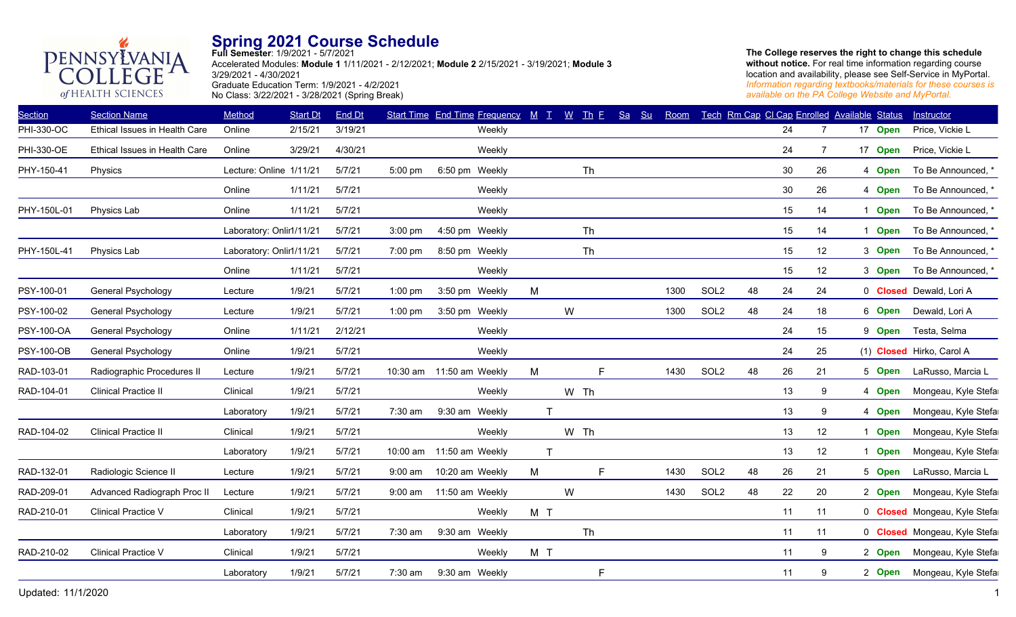

**Full Semester**: 1/9/2021 - 5/7/2021 Accelerated Modules: **Module 1** 1/11/2021 - 2/12/2021; **Module 2** 2/15/2021 - 3/19/2021; **Module 3** 3/29/2021 - 4/30/2021 Graduate Education Term: 1/9/2021 - 4/2/2021 No Class: 3/22/2021 - 3/28/2021 (Spring Break)

| <b>Section</b>    | <b>Section Name</b>           | Method                   | <b>Start Dt</b> | End Dt  |            | Start Time End Time Frequency $M$ T $M$ Th E |              |              |      | Sa | Su | Room |                  |    |        |                | Tech Rm Cap CI Cap Enrolled Available Status | Instructor                     |
|-------------------|-------------------------------|--------------------------|-----------------|---------|------------|----------------------------------------------|--------------|--------------|------|----|----|------|------------------|----|--------|----------------|----------------------------------------------|--------------------------------|
| PHI-330-OC        | Ethical Issues in Health Care | Online                   | 2/15/21         | 3/19/21 |            | Weekly                                       |              |              |      |    |    |      |                  |    | 24     | 7              | 17 Open                                      | Price, Vickie L                |
| PHI-330-OE        | Ethical Issues in Health Care | Online                   | 3/29/21         | 4/30/21 |            | Weekly                                       |              |              |      |    |    |      |                  |    | 24     | $\overline{7}$ | 17 Open                                      | Price, Vickie L                |
| PHY-150-41        | Physics                       | Lecture: Online 1/11/21  |                 | 5/7/21  | 5:00 pm    | 6:50 pm Weekly                               |              |              | Th   |    |    |      |                  |    | 30     | 26             | 4 Open                                       | To Be Announced, *             |
|                   |                               | Online                   | 1/11/21         | 5/7/21  |            | Weekly                                       |              |              |      |    |    |      |                  |    | $30\,$ | 26             | 4 Open                                       | To Be Announced, *             |
| PHY-150L-01       | Physics Lab                   | Online                   | 1/11/21         | 5/7/21  |            | Weekly                                       |              |              |      |    |    |      |                  |    | 15     | 14             | <b>Open</b><br>1                             | To Be Announced, *             |
|                   |                               | Laboratory: Onlir1/11/21 |                 | 5/7/21  | $3:00$ pm  | 4:50 pm Weekly                               |              |              | Th   |    |    |      |                  |    | 15     | 14             | Open                                         | To Be Announced, *             |
| PHY-150L-41       | Physics Lab                   | Laboratory: Onlir1/11/21 |                 | 5/7/21  | $7:00$ pm  | 8:50 pm Weekly                               |              |              | Th   |    |    |      |                  |    | 15     | 12             | 3 Open                                       | To Be Announced, *             |
|                   |                               | Online                   | 1/11/21         | 5/7/21  |            | Weekly                                       |              |              |      |    |    |      |                  |    | 15     | 12             | 3 Open                                       | To Be Announced, *             |
| PSY-100-01        | General Psychology            | Lecture                  | 1/9/21          | 5/7/21  | $1:00$ pm  | 3:50 pm Weekly                               | M            |              |      |    |    | 1300 | SOL <sub>2</sub> | 48 | 24     | 24             |                                              | 0 <b>Closed</b> Dewald, Lori A |
| PSY-100-02        | General Psychology            | Lecture                  | 1/9/21          | 5/7/21  | $1:00$ pm  | 3:50 pm Weekly                               |              | W            |      |    |    | 1300 | SOL <sub>2</sub> | 48 | 24     | 18             | 6 Open                                       | Dewald, Lori A                 |
| <b>PSY-100-OA</b> | General Psychology            | Online                   | 1/11/21         | 2/12/21 |            | Weekly                                       |              |              |      |    |    |      |                  |    | 24     | 15             | 9 Open                                       | Testa, Selma                   |
| <b>PSY-100-OB</b> | <b>General Psychology</b>     | Online                   | 1/9/21          | 5/7/21  |            | Weekly                                       |              |              |      |    |    |      |                  |    | 24     | 25             |                                              | (1) Closed Hirko, Carol A      |
| RAD-103-01        | Radiographic Procedures II    | Lecture                  | 1/9/21          | 5/7/21  |            | 10:30 am 11:50 am Weekly                     | M            |              | E    |    |    | 1430 | SOL <sub>2</sub> | 48 | 26     | 21             | 5 Open                                       | LaRusso, Marcia L              |
| RAD-104-01        | <b>Clinical Practice II</b>   | Clinical                 | 1/9/21          | 5/7/21  |            | Weekly                                       |              |              | W Th |    |    |      |                  |    | 13     | 9              | 4 Open                                       | Mongeau, Kyle Stefa            |
|                   |                               | Laboratory               | 1/9/21          | 5/7/21  | 7:30 am    | 9:30 am Weekly                               |              | $\mathsf{T}$ |      |    |    |      |                  |    | 13     | 9              | 4 Open                                       | Mongeau, Kyle Stefa            |
| RAD-104-02        | <b>Clinical Practice II</b>   | Clinical                 | 1/9/21          | 5/7/21  |            | Weekly                                       |              |              | W Th |    |    |      |                  |    | 13     | 12             | 1 Open                                       | Mongeau, Kyle Stefa            |
|                   |                               | Laboratory               | 1/9/21          | 5/7/21  | $10:00$ am | 11:50 am Weekly                              | $\mathsf{T}$ |              |      |    |    |      |                  |    | 13     | 12             | 1 Open                                       | Mongeau, Kyle Stefa            |
| RAD-132-01        | Radiologic Science II         | Lecture                  | 1/9/21          | 5/7/21  | $9:00$ am  | 10:20 am Weekly                              | M            |              | F    |    |    | 1430 | SOL <sub>2</sub> | 48 | 26     | 21             | 5 Open                                       | LaRusso, Marcia L              |
| RAD-209-01        | Advanced Radiograph Proc II   | Lecture                  | 1/9/21          | 5/7/21  | $9:00$ am  | 11:50 am Weekly                              |              | W            |      |    |    | 1430 | SOL <sub>2</sub> | 48 | 22     | 20             | 2 Open                                       | Mongeau, Kyle Stefa            |
| RAD-210-01        | Clinical Practice V           | Clinical                 | 1/9/21          | 5/7/21  |            | Weekly                                       | M T          |              |      |    |    |      |                  |    | 11     | 11             |                                              | 0 Closed Mongeau, Kyle Stefa   |
|                   |                               | Laboratory               | 1/9/21          | 5/7/21  | 7:30 am    | 9:30 am Weekly                               |              |              | Th   |    |    |      |                  |    | 11     | 11             |                                              | 0 Closed Mongeau, Kyle Stefa   |
| RAD-210-02        | Clinical Practice V           | Clinical                 | 1/9/21          | 5/7/21  |            | Weekly                                       | M T          |              |      |    |    |      |                  |    | 11     | 9              | 2 Open                                       | Mongeau, Kyle Stefa            |
|                   |                               | Laboratory               | 1/9/21          | 5/7/21  | 7:30 am    | 9:30 am Weekly                               |              |              | F    |    |    |      |                  |    | 11     | 9              | 2 Open                                       | Mongeau, Kyle Stefa            |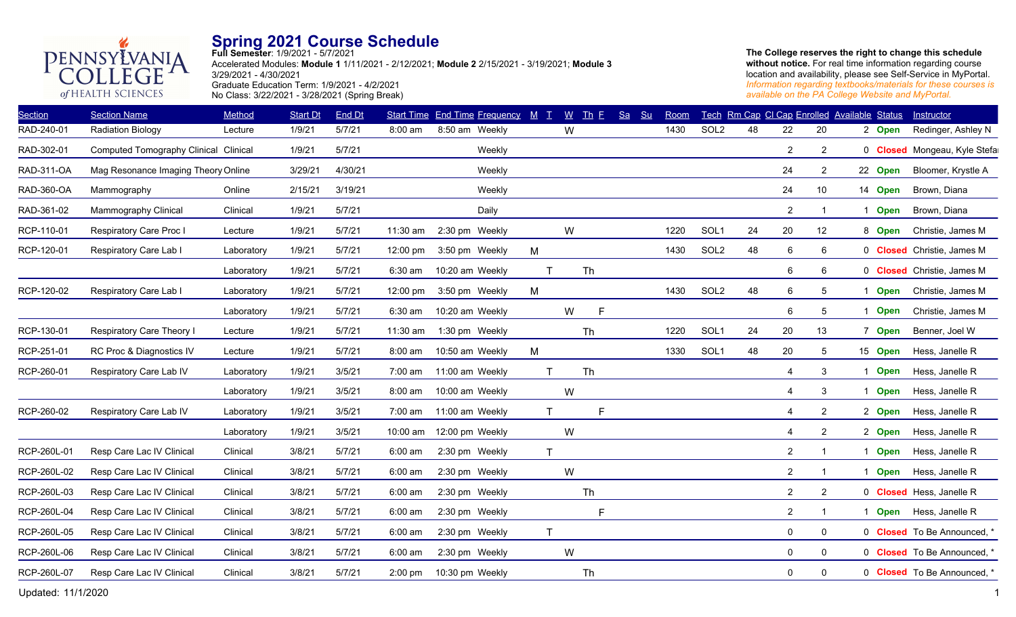

**Full Semester**: 1/9/2021 - 5/7/2021 Accelerated Modules: **Module 1** 1/11/2021 - 2/12/2021; **Module 2** 2/15/2021 - 3/19/2021; **Module 3** 3/29/2021 - 4/30/2021 Graduate Education Term: 1/9/2021 - 4/2/2021 No Class: 3/22/2021 - 3/28/2021 (Spring Break)

| <b>Section Name</b>       | Method     | <b>Start Dt</b>                                                              | End Dt  |                    |  |                                                                                                                                                                                                                                                                                                                                                                                                   |                                   |    | Sa                         | S <sub>u</sub> | Room |                  |    |                |                |              | Instructor                                                                                                                                                                                                                         |
|---------------------------|------------|------------------------------------------------------------------------------|---------|--------------------|--|---------------------------------------------------------------------------------------------------------------------------------------------------------------------------------------------------------------------------------------------------------------------------------------------------------------------------------------------------------------------------------------------------|-----------------------------------|----|----------------------------|----------------|------|------------------|----|----------------|----------------|--------------|------------------------------------------------------------------------------------------------------------------------------------------------------------------------------------------------------------------------------------|
| <b>Radiation Biology</b>  | Lecture    | 1/9/21                                                                       | 5/7/21  | $8:00$ am          |  |                                                                                                                                                                                                                                                                                                                                                                                                   | W                                 |    |                            |                | 1430 | SOL <sub>2</sub> | 48 | 22             | 20             |              | Redinger, Ashley N                                                                                                                                                                                                                 |
|                           |            | 1/9/21                                                                       | 5/7/21  |                    |  |                                                                                                                                                                                                                                                                                                                                                                                                   |                                   |    |                            |                |      |                  |    | $\overline{2}$ | $\overline{2}$ |              | 0 Closed Mongeau, Kyle Stefa                                                                                                                                                                                                       |
|                           |            | 3/29/21                                                                      | 4/30/21 |                    |  |                                                                                                                                                                                                                                                                                                                                                                                                   |                                   |    |                            |                |      |                  |    | 24             | $\overline{2}$ |              | Bloomer, Krystle A                                                                                                                                                                                                                 |
| Mammography               | Online     | 2/15/21                                                                      | 3/19/21 |                    |  |                                                                                                                                                                                                                                                                                                                                                                                                   |                                   |    |                            |                |      |                  |    | 24             | 10             |              | Brown, Diana                                                                                                                                                                                                                       |
| Mammography Clinical      | Clinical   | 1/9/21                                                                       | 5/7/21  |                    |  |                                                                                                                                                                                                                                                                                                                                                                                                   |                                   |    |                            |                |      |                  |    | $\overline{2}$ | $\mathbf 1$    | -1           | Brown, Diana                                                                                                                                                                                                                       |
| Respiratory Care Proc I   | Lecture    | 1/9/21                                                                       | 5/7/21  | 11:30 am           |  |                                                                                                                                                                                                                                                                                                                                                                                                   | W                                 |    |                            |                | 1220 | SOL <sub>1</sub> | 24 | 20             | 12             |              | Christie, James M                                                                                                                                                                                                                  |
| Respiratory Care Lab I    | Laboratory | 1/9/21                                                                       | 5/7/21  | 12:00 pm           |  | M                                                                                                                                                                                                                                                                                                                                                                                                 |                                   |    |                            |                | 1430 | SOL <sub>2</sub> | 48 | 6              | 6              |              | 0 <b>Closed</b> Christie, James M                                                                                                                                                                                                  |
|                           | Laboratory | 1/9/21                                                                       | 5/7/21  | 6:30 am            |  | T                                                                                                                                                                                                                                                                                                                                                                                                 |                                   | Th |                            |                |      |                  |    | 6              | 6              |              | 0 <b>Closed</b> Christie, James M                                                                                                                                                                                                  |
| Respiratory Care Lab I    | Laboratory | 1/9/21                                                                       | 5/7/21  | $12:00 \text{ pm}$ |  | M                                                                                                                                                                                                                                                                                                                                                                                                 |                                   |    |                            |                | 1430 | SOL <sub>2</sub> | 48 | 6              | 5              | 1            | Christie, James M                                                                                                                                                                                                                  |
|                           | Laboratory | 1/9/21                                                                       | 5/7/21  | $6:30$ am          |  |                                                                                                                                                                                                                                                                                                                                                                                                   | W                                 | F  |                            |                |      |                  |    | 6              | 5              | 1            | Christie, James M                                                                                                                                                                                                                  |
| Respiratory Care Theory I | Lecture    | 1/9/21                                                                       | 5/7/21  | 11:30 am           |  |                                                                                                                                                                                                                                                                                                                                                                                                   |                                   |    |                            |                | 1220 | SOL <sub>1</sub> | 24 | 20             | 13             |              | Benner, Joel W                                                                                                                                                                                                                     |
| RC Proc & Diagnostics IV  | Lecture    | 1/9/21                                                                       | 5/7/21  | $8:00$ am          |  | M                                                                                                                                                                                                                                                                                                                                                                                                 |                                   |    |                            |                | 1330 | SOL1             | 48 | 20             | 5              |              | Hess, Janelle R                                                                                                                                                                                                                    |
| Respiratory Care Lab IV   | Laboratory | 1/9/21                                                                       | 3/5/21  | $7:00 \text{ am}$  |  | T                                                                                                                                                                                                                                                                                                                                                                                                 |                                   |    |                            |                |      |                  |    | 4              | 3              | $\mathbf 1$  | Hess, Janelle R                                                                                                                                                                                                                    |
|                           | Laboratory | 1/9/21                                                                       | 3/5/21  | $8:00$ am          |  |                                                                                                                                                                                                                                                                                                                                                                                                   | W                                 |    |                            |                |      |                  |    | 4              | 3              | -1           | Hess, Janelle R                                                                                                                                                                                                                    |
| Respiratory Care Lab IV   | Laboratory | 1/9/21                                                                       | 3/5/21  | $7:00 \text{ am}$  |  | $\mathsf{T}$                                                                                                                                                                                                                                                                                                                                                                                      |                                   | F  |                            |                |      |                  |    | $\overline{4}$ | $\overline{2}$ |              | Hess, Janelle R                                                                                                                                                                                                                    |
|                           | Laboratory | 1/9/21                                                                       | 3/5/21  | 10:00 am           |  |                                                                                                                                                                                                                                                                                                                                                                                                   | W                                 |    |                            |                |      |                  |    | 4              | $\overline{2}$ |              | Hess, Janelle R                                                                                                                                                                                                                    |
| Resp Care Lac IV Clinical | Clinical   | 3/8/21                                                                       | 5/7/21  | 6:00 am            |  | T                                                                                                                                                                                                                                                                                                                                                                                                 |                                   |    |                            |                |      |                  |    | $\overline{2}$ | -1             |              | Hess, Janelle R                                                                                                                                                                                                                    |
| Resp Care Lac IV Clinical | Clinical   | 3/8/21                                                                       | 5/7/21  | $6:00$ am          |  |                                                                                                                                                                                                                                                                                                                                                                                                   | W                                 |    |                            |                |      |                  |    | $\overline{2}$ | $\mathbf 1$    | 1            | Hess, Janelle R                                                                                                                                                                                                                    |
| Resp Care Lac IV Clinical | Clinical   | 3/8/21                                                                       | 5/7/21  | 6:00 am            |  |                                                                                                                                                                                                                                                                                                                                                                                                   |                                   |    |                            |                |      |                  |    | $\overline{c}$ | $\overline{2}$ |              | 0 Closed Hess, Janelle R                                                                                                                                                                                                           |
| Resp Care Lac IV Clinical | Clinical   | 3/8/21                                                                       | 5/7/21  | 6:00 am            |  |                                                                                                                                                                                                                                                                                                                                                                                                   |                                   | F. |                            |                |      |                  |    | $\overline{2}$ | $\mathbf{1}$   | $\mathbf{1}$ | Hess, Janelle R                                                                                                                                                                                                                    |
| Resp Care Lac IV Clinical | Clinical   | 3/8/21                                                                       | 5/7/21  | $6:00$ am          |  | T                                                                                                                                                                                                                                                                                                                                                                                                 |                                   |    |                            |                |      |                  |    | $\Omega$       | 0              |              | 0 Closed To Be Announced, *                                                                                                                                                                                                        |
| Resp Care Lac IV Clinical | Clinical   | 3/8/21                                                                       | 5/7/21  | $6:00$ am          |  |                                                                                                                                                                                                                                                                                                                                                                                                   | W                                 |    |                            |                |      |                  |    | $\mathbf 0$    | $\mathbf 0$    |              | 0 Closed To Be Announced, *                                                                                                                                                                                                        |
| Resp Care Lac IV Clinical | Clinical   | 3/8/21                                                                       | 5/7/21  | $2:00$ pm          |  |                                                                                                                                                                                                                                                                                                                                                                                                   |                                   | Th |                            |                |      |                  |    | 0              | 0              |              | 0 Closed To Be Announced, *                                                                                                                                                                                                        |
|                           |            | Computed Tomography Clinical Clinical<br>Mag Resonance Imaging Theory Online |         |                    |  | 8:50 am Weekly<br>Weekly<br>Weekly<br>Weekly<br>Daily<br>2:30 pm Weekly<br>3:50 pm Weekly<br>10:20 am Weekly<br>3:50 pm Weekly<br>10:20 am Weekly<br>1:30 pm Weekly<br>10:50 am Weekly<br>11:00 am Weekly<br>10:00 am Weekly<br>11:00 am Weekly<br>12:00 pm Weekly<br>2:30 pm Weekly<br>2:30 pm Weekly<br>2:30 pm Weekly<br>2:30 pm Weekly<br>2:30 pm Weekly<br>2:30 pm Weekly<br>10:30 pm Weekly | Start Time End Time Frequency M T |    | $W$ Th E<br>Th<br>Th<br>Th |                |      |                  |    |                |                |              | Tech Rm Cap CI Cap Enrolled Available Status<br>2 Open<br>22 Open<br>14 Open<br>Open<br>8 Open<br>Open<br><b>Open</b><br>7 Open<br>15 Open<br>Open<br><b>Open</b><br>2 Open<br>2 Open<br><b>Open</b><br><b>Open</b><br><b>Open</b> |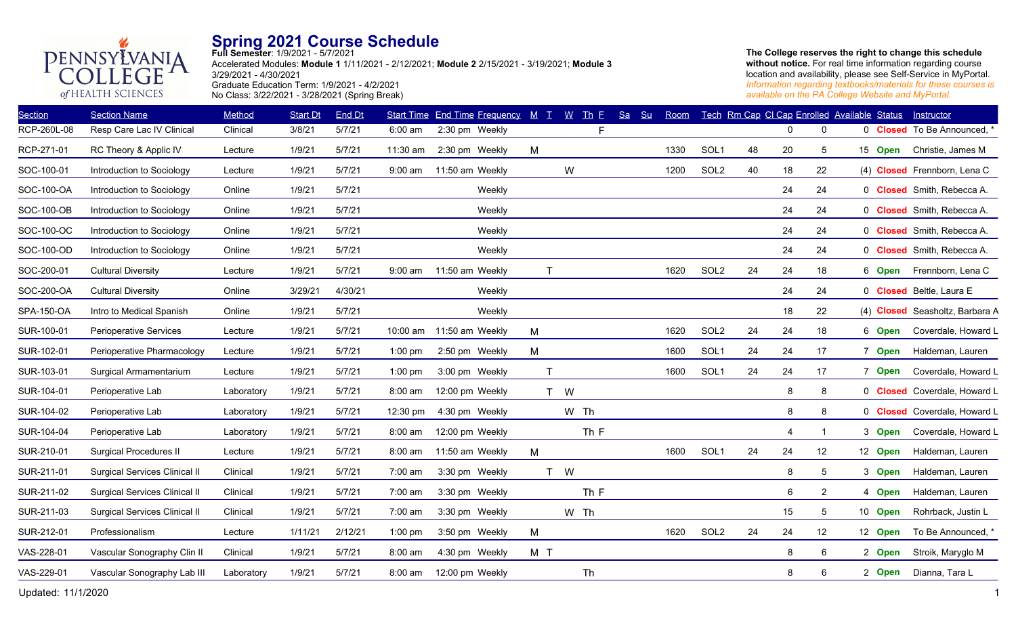

**Full Semester**: 1/9/2021 - 5/7/2021 Accelerated Modules: **Module 1** 1/11/2021 - 2/12/2021; **Module 2** 2/15/2021 - 3/19/2021; **Module 3** 3/29/2021 - 4/30/2021 Graduate Education Term: 1/9/2021 - 4/2/2021 No Class: 3/22/2021 - 3/28/2021 (Spring Break)

| <b>Section</b> | <b>Section Name</b>                  | Method     | <b>Start Dt</b> | <b>End Dt</b> |                   | <b>Start Time End Time Frequency</b> | $M$ $T$      |      | $W$ Th E | Sa | Su | Room |                  |    | Tech Rm Cap CI Cap Enrolled Available Status |                |         | Instructor                         |
|----------------|--------------------------------------|------------|-----------------|---------------|-------------------|--------------------------------------|--------------|------|----------|----|----|------|------------------|----|----------------------------------------------|----------------|---------|------------------------------------|
| RCP-260L-08    | Resp Care Lac IV Clinical            | Clinical   | 3/8/21          | 5/7/21        | $6:00$ am         | 2:30 pm Weekly                       |              |      | F        |    |    |      |                  |    | $\mathbf{0}$                                 | 0              |         | 0 <b>Closed</b> To Be Announced, * |
| RCP-271-01     | RC Theory & Applic IV                | Lecture    | 1/9/21          | 5/7/21        | 11:30 am          | 2:30 pm Weekly                       | M            |      |          |    |    | 1330 | SOL <sub>1</sub> | 48 | 20                                           | 5              | 15 Open | Christie, James M                  |
| SOC-100-01     | Introduction to Sociology            | Lecture    | 1/9/21          | 5/7/21        | $9:00$ am         | 11:50 am Weekly                      |              | W    |          |    |    | 1200 | SOL <sub>2</sub> | 40 | 18                                           | 22             |         | (4) Closed Frennborn, Lena C       |
| SOC-100-OA     | Introduction to Sociology            | Online     | 1/9/21          | 5/7/21        |                   | Weekly                               |              |      |          |    |    |      |                  |    | 24                                           | 24             |         | 0 <b>Closed</b> Smith, Rebecca A.  |
| SOC-100-OB     | Introduction to Sociology            | Online     | 1/9/21          | 5/7/21        |                   | Weekly                               |              |      |          |    |    |      |                  |    | 24                                           | 24             |         | 0 <b>Closed</b> Smith, Rebecca A.  |
| SOC-100-OC     | Introduction to Sociology            | Online     | 1/9/21          | 5/7/21        |                   | Weekly                               |              |      |          |    |    |      |                  |    | 24                                           | 24             |         | 0 <b>Closed</b> Smith, Rebecca A.  |
| SOC-100-OD     | Introduction to Sociology            | Online     | 1/9/21          | 5/7/21        |                   | Weekly                               |              |      |          |    |    |      |                  |    | 24                                           | 24             |         | 0 Closed Smith, Rebecca A.         |
| SOC-200-01     | <b>Cultural Diversity</b>            | Lecture    | 1/9/21          | 5/7/21        | $9:00$ am         | 11:50 am Weekly                      | $\mathsf{T}$ |      |          |    |    | 1620 | SOL <sub>2</sub> | 24 | 24                                           | 18             | 6 Open  | Frennborn, Lena C                  |
| SOC-200-OA     | <b>Cultural Diversity</b>            | Online     | 3/29/21         | 4/30/21       |                   | Weekly                               |              |      |          |    |    |      |                  |    | 24                                           | 24             |         | 0 Closed Beltle, Laura E           |
| SPA-150-OA     | Intro to Medical Spanish             | Online     | 1/9/21          | 5/7/21        |                   | Weekly                               |              |      |          |    |    |      |                  |    | 18                                           | 22             |         | (4) Closed Seasholtz, Barbara A    |
| SUR-100-01     | Perioperative Services               | Lecture    | 1/9/21          | 5/7/21        |                   | 10:00 am 11:50 am Weekly             | M            |      |          |    |    | 1620 | SOL <sub>2</sub> | 24 | 24                                           | 18             | 6 Open  | Coverdale, Howard L                |
| SUR-102-01     | Perioperative Pharmacology           | Lecture    | 1/9/21          | 5/7/21        | $1:00$ pm         | 2:50 pm Weekly                       | M            |      |          |    |    | 1600 | SOL1             | 24 | 24                                           | 17             | 7 Open  | Haldeman, Lauren                   |
| SUR-103-01     | Surgical Armamentarium               | Lecture    | 1/9/21          | 5/7/21        | $1:00$ pm         | 3:00 pm Weekly                       | T            |      |          |    |    | 1600 | SOL <sub>1</sub> | 24 | 24                                           | 17             | 7 Open  | Coverdale, Howard L                |
| SUR-104-01     | Perioperative Lab                    | Laboratory | 1/9/21          | 5/7/21        | 8:00 am           | 12:00 pm Weekly                      |              | T W  |          |    |    |      |                  |    | 8                                            | 8              |         | 0 Closed Coverdale, Howard L       |
| SUR-104-02     | Perioperative Lab                    | Laboratory | 1/9/21          | 5/7/21        | 12:30 pm          | 4:30 pm Weekly                       |              | W Th |          |    |    |      |                  |    | 8                                            | 8              |         | 0 Closed Coverdale, Howard L       |
| SUR-104-04     | Perioperative Lab                    | Laboratory | 1/9/21          | 5/7/21        | $8:00 \text{ am}$ | 12:00 pm Weekly                      |              |      | Th F     |    |    |      |                  |    | 4                                            | -1             | 3 Open  | Coverdale, Howard L                |
| SUR-210-01     | <b>Surgical Procedures II</b>        | Lecture    | 1/9/21          | 5/7/21        | 8:00 am           | 11:50 am Weekly                      | M            |      |          |    |    | 1600 | SOL1             | 24 | 24                                           | 12             | 12 Open | Haldeman, Lauren                   |
| SUR-211-01     | <b>Surgical Services Clinical II</b> | Clinical   | 1/9/21          | 5/7/21        | $7:00 \text{ am}$ | 3:30 pm Weekly                       |              | T W  |          |    |    |      |                  |    | 8                                            | 5              | 3 Open  | Haldeman, Lauren                   |
| SUR-211-02     | <b>Surgical Services Clinical II</b> | Clinical   | 1/9/21          | 5/7/21        | 7:00 am           | 3:30 pm Weekly                       |              |      | Th F     |    |    |      |                  |    | 6                                            | $\overline{2}$ | 4 Open  | Haldeman, Lauren                   |
| SUR-211-03     | <b>Surgical Services Clinical II</b> | Clinical   | 1/9/21          | 5/7/21        | 7:00 am           | 3:30 pm Weekly                       |              | W Th |          |    |    |      |                  |    | 15                                           | 5              | 10 Open | Rohrback, Justin L                 |
| SUR-212-01     | Professionalism                      | Lecture    | 1/11/21         | 2/12/21       | $1:00$ pm         | 3:50 pm Weekly                       | M            |      |          |    |    | 1620 | SOL <sub>2</sub> | 24 | 24                                           | 12             | 12 Open | To Be Announced, *                 |
| VAS-228-01     | Vascular Sonography Clin II          | Clinical   | 1/9/21          | 5/7/21        | 8:00 am           | 4:30 pm Weekly                       | M T          |      |          |    |    |      |                  |    | 8                                            | 6              | 2 Open  | Stroik, Maryglo M                  |
| VAS-229-01     | Vascular Sonography Lab III          | Laboratory | 1/9/21          | 5/7/21        | 8:00 am           | 12:00 pm Weekly                      |              |      | Th       |    |    |      |                  |    | 8                                            | 6              | 2 Open  | Dianna, Tara L                     |
|                |                                      |            |                 |               |                   |                                      |              |      |          |    |    |      |                  |    |                                              |                |         |                                    |